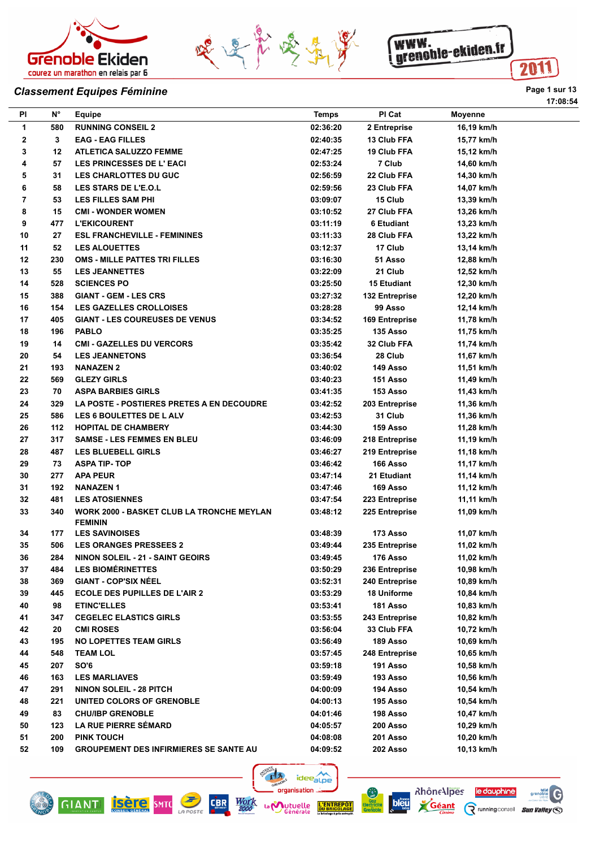





## **Classement Equipes Féminine Page 1** sur 13

| PI | $N^{\circ}$ | <b>Equipe</b>                                                      | <b>Temps</b> | PI Cat                | <b>Moyenne</b> |
|----|-------------|--------------------------------------------------------------------|--------------|-----------------------|----------------|
| 1  | 580         | <b>RUNNING CONSEIL 2</b>                                           | 02:36:20     | 2 Entreprise          | 16,19 km/h     |
| 2  | 3           | <b>EAG - EAG FILLES</b>                                            | 02:40:35     | 13 Club FFA           | 15,77 km/h     |
| 3  | 12          | <b>ATLETICA SALUZZO FEMME</b>                                      | 02:47:25     | 19 Club FFA           | 15,12 km/h     |
| 4  | 57          | <b>LES PRINCESSES DE L'EACI</b>                                    | 02:53:24     | 7 Club                | 14,60 km/h     |
| 5  | 31          | <b>LES CHARLOTTES DU GUC</b>                                       | 02:56:59     | 22 Club FFA           | 14,30 km/h     |
| 6  | 58          | <b>LES STARS DE L'E.O.L</b>                                        | 02:59:56     | 23 Club FFA           | 14,07 km/h     |
| 7  | 53          | <b>LES FILLES SAM PHI</b>                                          | 03:09:07     | 15 Club               | 13,39 km/h     |
| 8  | 15          | <b>CMI - WONDER WOMEN</b>                                          | 03:10:52     | 27 Club FFA           | 13,26 km/h     |
| 9  | 477         | <b>L'EKICOURENT</b>                                                | 03:11:19     | <b>6 Etudiant</b>     | 13,23 km/h     |
| 10 | 27          | <b>ESL FRANCHEVILLE - FEMININES</b>                                | 03:11:33     | 28 Club FFA           | 13,22 km/h     |
| 11 | 52          | <b>LES ALOUETTES</b>                                               | 03:12:37     | 17 Club               | 13,14 km/h     |
| 12 | 230         | OMS - MILLE PATTES TRI FILLES                                      | 03:16:30     | 51 Asso               | 12,88 km/h     |
| 13 | 55          | <b>LES JEANNETTES</b>                                              | 03:22:09     | 21 Club               | 12,52 km/h     |
| 14 | 528         | <b>SCIENCES PO</b>                                                 | 03:25:50     | <b>15 Etudiant</b>    | 12,30 km/h     |
| 15 | 388         | <b>GIANT - GEM - LES CRS</b>                                       | 03:27:32     | 132 Entreprise        | 12,20 km/h     |
| 16 | 154         | <b>LES GAZELLES CROLLOISES</b>                                     | 03:28:28     | 99 Asso               | 12,14 km/h     |
| 17 | 405         | <b>GIANT - LES COUREUSES DE VENUS</b>                              | 03:34:52     | <b>169 Entreprise</b> | 11,78 km/h     |
| 18 | 196         | <b>PABLO</b>                                                       | 03:35:25     | 135 Asso              | 11,75 km/h     |
| 19 | 14          | <b>CMI - GAZELLES DU VERCORS</b>                                   | 03:35:42     | 32 Club FFA           | 11,74 km/h     |
| 20 | 54          | <b>LES JEANNETONS</b>                                              | 03:36:54     | 28 Club               | 11,67 km/h     |
| 21 | 193         | <b>NANAZEN 2</b>                                                   | 03:40:02     | 149 Asso              | 11,51 km/h     |
| 22 | 569         | <b>GLEZY GIRLS</b>                                                 | 03:40:23     | 151 Asso              | 11,49 km/h     |
| 23 | 70          | <b>ASPA BARBIES GIRLS</b>                                          | 03:41:35     | 153 Asso              | 11,43 km/h     |
| 24 | 329         | LA POSTE - POSTIERES PRETES A EN DECOUDRE                          | 03:42:52     | 203 Entreprise        | 11,36 km/h     |
| 25 | 586         | LES 6 BOULETTES DE LALV                                            | 03:42:53     | 31 Club               | 11,36 km/h     |
| 26 | 112         | <b>HOPITAL DE CHAMBERY</b>                                         | 03:44:30     | 159 Asso              | 11,28 km/h     |
| 27 | 317         | <b>SAMSE - LES FEMMES EN BLEU</b>                                  | 03:46:09     | 218 Entreprise        | 11,19 km/h     |
| 28 | 487         | <b>LES BLUEBELL GIRLS</b>                                          | 03:46:27     | 219 Entreprise        | 11,18 km/h     |
| 29 | 73          | <b>ASPA TIP-TOP</b>                                                | 03:46:42     | 166 Asso              | 11,17 km/h     |
| 30 | 277         | <b>APA PEUR</b>                                                    | 03:47:14     | 21 Etudiant           | 11,14 km/h     |
| 31 | 192         | <b>NANAZEN1</b>                                                    | 03:47:46     | 169 Asso              | 11,12 km/h     |
| 32 | 481         | <b>LES ATOSIENNES</b>                                              | 03:47:54     | 223 Entreprise        | 11,11 km/h     |
| 33 | 340         | <b>WORK 2000 - BASKET CLUB LA TRONCHE MEYLAN</b><br><b>FEMININ</b> | 03:48:12     | 225 Entreprise        | 11,09 km/h     |
| 34 | 177         | <b>LES SAVINOISES</b>                                              | 03:48:39     | 173 Asso              | 11,07 km/h     |
| 35 | 506         | <b>LES ORANGES PRESSEES 2</b>                                      | 03:49:44     | 235 Entreprise        | 11,02 km/h     |
| 36 | 284         | <b>NINON SOLEIL - 21 - SAINT GEOIRS</b>                            | 03:49:45     | 176 Asso              | 11,02 km/h     |
| 37 | 484         | <b>LES BIOMÉRINETTES</b>                                           | 03:50:29     | 236 Entreprise        | 10,98 km/h     |
| 38 | 369         | <b>GIANT - COP'SIX NÉEL</b>                                        | 03:52:31     | 240 Entreprise        | 10,89 km/h     |
| 39 | 445         | <b>ECOLE DES PUPILLES DE L'AIR 2</b>                               | 03:53:29     | 18 Uniforme           | 10,84 km/h     |
| 40 | 98          | <b>ETINC'ELLES</b>                                                 | 03:53:41     | 181 Asso              | 10,83 km/h     |
| 41 | 347         | <b>CEGELEC ELASTICS GIRLS</b>                                      | 03:53:55     | 243 Entreprise        | 10,82 km/h     |
| 42 | 20          | <b>CMI ROSES</b>                                                   | 03:56:04     | 33 Club FFA           | 10,72 km/h     |
| 43 | 195         | <b>NO LOPETTES TEAM GIRLS</b>                                      | 03:56:49     | 189 Asso              | 10,69 km/h     |
| 44 | 548         | <b>TEAM LOL</b>                                                    | 03:57:45     | 248 Entreprise        | 10,65 km/h     |
| 45 | 207         | <b>SO'6</b>                                                        | 03:59:18     | 191 Asso              | 10,58 km/h     |
| 46 | 163         | <b>LES MARLIAVES</b>                                               | 03:59:49     | 193 Asso              | 10,56 km/h     |
| 47 | 291         | <b>NINON SOLEIL - 28 PITCH</b>                                     | 04:00:09     | 194 Asso              | 10,54 km/h     |
| 48 | 221         | UNITED COLORS OF GRENOBLE                                          | 04:00:13     | 195 Asso              | 10,54 km/h     |
| 49 | 83          | <b>CHU/IBP GRENOBLE</b>                                            | 04:01:46     | 198 Asso              | 10,47 km/h     |
| 50 | 123         | <b>LA RUE PIERRE SÉMARD</b>                                        | 04:05:57     | 200 Asso              | 10,29 km/h     |
| 51 | 200         | <b>PINK TOUCH</b>                                                  | 04:08:08     | 201 Asso              | 10,20 km/h     |
| 52 | 109         | <b>GROUPEMENT DES INFIRMIERES SE SANTE AU</b>                      | 04:09:52     | 202 Asso              | 10,13 km/h     |







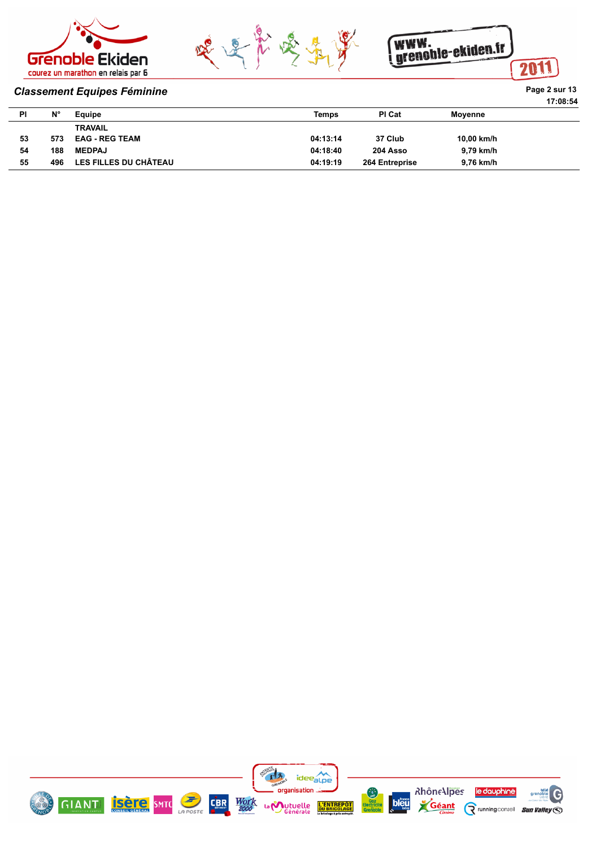



WWW.<br>grenchle-ekiden.fr 2011

#### **Classement Equipes Féminine Page 2 sur 13**

|    |                |                              |              |                |            | 17:08:54 |
|----|----------------|------------------------------|--------------|----------------|------------|----------|
| PI | N <sub>c</sub> | Equipe                       | <b>Temps</b> | PI Cat         | Moyenne    |          |
|    |                | <b>TRAVAIL</b>               |              |                |            |          |
| 53 | 573            | <b>EAG - REG TEAM</b>        | 04:13:14     | 37 Club        | 10,00 km/h |          |
| 54 | 188            | <b>MEDPAJ</b>                | 04:18:40     | 204 Asso       | 9,79 km/h  |          |
| 55 | 496            | <b>LES FILLES DU CHÂTEAU</b> | 04:19:19     | 264 Entreprise | 9,76 km/h  |          |

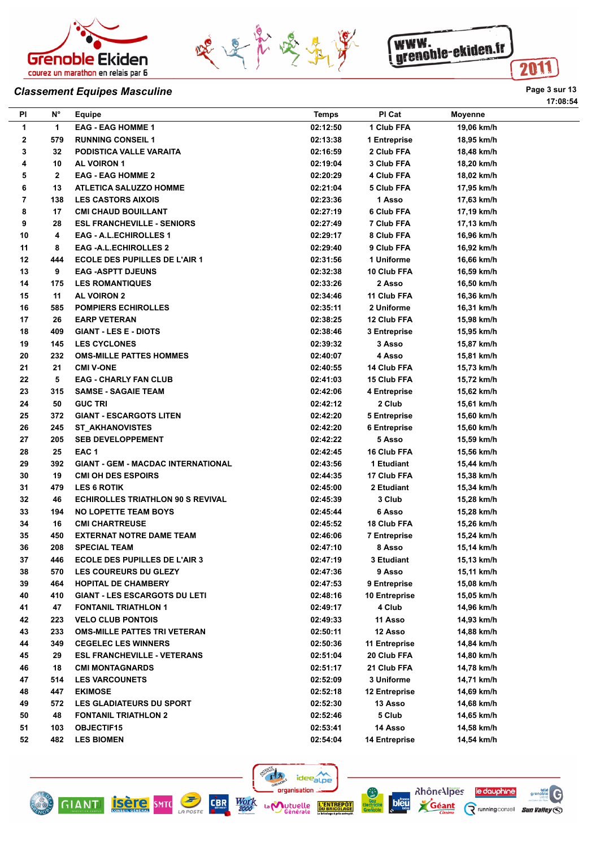





## **Classement Equipes Masculine Page 1 St 2016 Page 1 St 2016 Page 1 St 2016 Page 1 St 2016 Page 1 St 2016**

**17:08:54**

| PI | N°           | Equipe                                    | <b>Temps</b> | PI Cat               | Moyenne    |
|----|--------------|-------------------------------------------|--------------|----------------------|------------|
| 1  | 1.           | <b>EAG - EAG HOMME 1</b>                  | 02:12:50     | 1 Club FFA           | 19,06 km/h |
| 2  | 579          | <b>RUNNING CONSEIL 1</b>                  | 02:13:38     | 1 Entreprise         | 18,95 km/h |
| 3  | 32           | PODISTICA VALLE VARAITA                   | 02:16:59     | 2 Club FFA           | 18,48 km/h |
| 4  | 10           | <b>AL VOIRON 1</b>                        | 02:19:04     | 3 Club FFA           | 18,20 km/h |
| 5  | $\mathbf{2}$ | <b>EAG - EAG HOMME 2</b>                  | 02:20:29     | 4 Club FFA           | 18,02 km/h |
| 6  | 13           | <b>ATLETICA SALUZZO HOMME</b>             | 02:21:04     | 5 Club FFA           | 17,95 km/h |
| 7  | 138          | <b>LES CASTORS AIXOIS</b>                 | 02:23:36     | 1 Asso               | 17,63 km/h |
| 8  | 17           | <b>CMI CHAUD BOUILLANT</b>                | 02:27:19     | 6 Club FFA           | 17,19 km/h |
| 9  | 28           | <b>ESL FRANCHEVILLE - SENIORS</b>         | 02:27:49     | 7 Club FFA           | 17,13 km/h |
| 10 | 4            | <b>EAG - A.L.ECHIROLLES 1</b>             | 02:29:17     | 8 Club FFA           | 16,96 km/h |
| 11 | 8            | <b>EAG -A.L.ECHIROLLES 2</b>              | 02:29:40     | 9 Club FFA           | 16,92 km/h |
| 12 | 444          | <b>ECOLE DES PUPILLES DE L'AIR 1</b>      | 02:31:56     | 1 Uniforme           | 16,66 km/h |
| 13 | 9            | <b>EAG -ASPTT DJEUNS</b>                  | 02:32:38     | 10 Club FFA          | 16,59 km/h |
| 14 | 175          | <b>LES ROMANTIQUES</b>                    | 02:33:26     | 2 Asso               | 16,50 km/h |
| 15 | 11           | <b>AL VOIRON 2</b>                        | 02:34:46     | 11 Club FFA          | 16,36 km/h |
| 16 | 585          | <b>POMPIERS ECHIROLLES</b>                | 02:35:11     | 2 Uniforme           | 16,31 km/h |
| 17 | 26           | <b>EARP VETERAN</b>                       | 02:38:25     | 12 Club FFA          | 15,98 km/h |
| 18 | 409          | <b>GIANT - LES E - DIOTS</b>              | 02:38:46     | 3 Entreprise         | 15,95 km/h |
| 19 | 145          | <b>LES CYCLONES</b>                       | 02:39:32     | 3 Asso               | 15,87 km/h |
| 20 | 232          | <b>OMS-MILLE PATTES HOMMES</b>            | 02:40:07     | 4 Asso               | 15,81 km/h |
| 21 | 21           | <b>CMI V-ONE</b>                          | 02:40:55     | 14 Club FFA          | 15,73 km/h |
| 22 | 5            | <b>EAG - CHARLY FAN CLUB</b>              | 02:41:03     | 15 Club FFA          | 15,72 km/h |
| 23 | 315          | <b>SAMSE - SAGAIE TEAM</b>                | 02:42:06     | 4 Entreprise         | 15,62 km/h |
| 24 | 50           | <b>GUC TRI</b>                            | 02:42:12     | 2 Club               | 15,61 km/h |
| 25 | 372          | <b>GIANT - ESCARGOTS LITEN</b>            | 02:42:20     | <b>5 Entreprise</b>  | 15,60 km/h |
| 26 | 245          | <b>ST_AKHANOVISTES</b>                    | 02:42:20     | 6 Entreprise         | 15,60 km/h |
| 27 | 205          | <b>SEB DEVELOPPEMENT</b>                  | 02:42:22     | 5 Asso               | 15,59 km/h |
| 28 | 25           | EAC <sub>1</sub>                          | 02:42:45     | 16 Club FFA          | 15,56 km/h |
| 29 | 392          | <b>GIANT - GEM - MACDAC INTERNATIONAL</b> | 02:43:56     | 1 Etudiant           | 15,44 km/h |
| 30 | 19           | <b>CMI OH DES ESPOIRS</b>                 | 02:44:35     | 17 Club FFA          | 15,38 km/h |
| 31 | 479          | <b>LES 6 ROTIK</b>                        | 02:45:00     | 2 Etudiant           | 15,34 km/h |
| 32 | 46           | <b>ECHIROLLES TRIATHLON 90 S REVIVAL</b>  | 02:45:39     | 3 Club               | 15,28 km/h |
| 33 | 194          | <b>NO LOPETTE TEAM BOYS</b>               | 02:45:44     | 6 Asso               | 15,28 km/h |
| 34 | 16           | <b>CMI CHARTREUSE</b>                     | 02:45:52     | 18 Club FFA          | 15,26 km/h |
| 35 | 450          | <b>EXTERNAT NOTRE DAME TEAM</b>           | 02:46:06     | <b>7 Entreprise</b>  | 15,24 km/h |
| 36 | 208          | <b>SPECIAL TEAM</b>                       | 02:47:10     | 8 Asso               | 15,14 km/h |
| 37 | 446          | <b>ECOLE DES PUPILLES DE L'AIR 3</b>      | 02:47:19     | 3 Etudiant           | 15,13 km/h |
| 38 | 570          | <b>LES COUREURS DU GLEZY</b>              | 02:47:36     | 9 Asso               | 15,11 km/h |
| 39 | 464          | <b>HOPITAL DE CHAMBERY</b>                | 02:47:53     | 9 Entreprise         | 15,08 km/h |
| 40 | 410          | <b>GIANT - LES ESCARGOTS DU LETI</b>      | 02:48:16     | 10 Entreprise        | 15,05 km/h |
| 41 | 47           | <b>FONTANIL TRIATHLON 1</b>               | 02:49:17     | 4 Club               | 14,96 km/h |
| 42 | 223          | <b>VELO CLUB PONTOIS</b>                  | 02:49:33     | 11 Asso              | 14,93 km/h |
| 43 | 233          | <b>OMS-MILLE PATTES TRI VETERAN</b>       | 02:50:11     | 12 Asso              | 14,88 km/h |
| 44 | 349          | <b>CEGELEC LES WINNERS</b>                | 02:50:36     | 11 Entreprise        | 14,84 km/h |
| 45 | 29           | <b>ESL FRANCHEVILLE - VETERANS</b>        | 02:51:04     | 20 Club FFA          | 14,80 km/h |
| 46 | 18           | <b>CMI MONTAGNARDS</b>                    | 02:51:17     | 21 Club FFA          | 14,78 km/h |
| 47 | 514          | <b>LES VARCOUNETS</b>                     | 02:52:09     | 3 Uniforme           | 14,71 km/h |
| 48 | 447          | <b>EKIMOSE</b>                            | 02:52:18     | 12 Entreprise        | 14,69 km/h |
| 49 | 572          | <b>LES GLADIATEURS DU SPORT</b>           | 02:52:30     | 13 Asso              | 14,68 km/h |
| 50 | 48           | <b>FONTANIL TRIATHLON 2</b>               | 02:52:46     | 5 Club               | 14,65 km/h |
| 51 | 103          | <b>OBJECTIF15</b>                         | 02:53:41     | 14 Asso              | 14,58 km/h |
| 52 | 482          | <b>LES BIOMEN</b>                         | 02:54:04     | <b>14 Entreprise</b> | 14,54 km/h |
|    |              |                                           |              |                      |            |

Ê.  $r$ 

organisation ...

La **Mutuelle** 







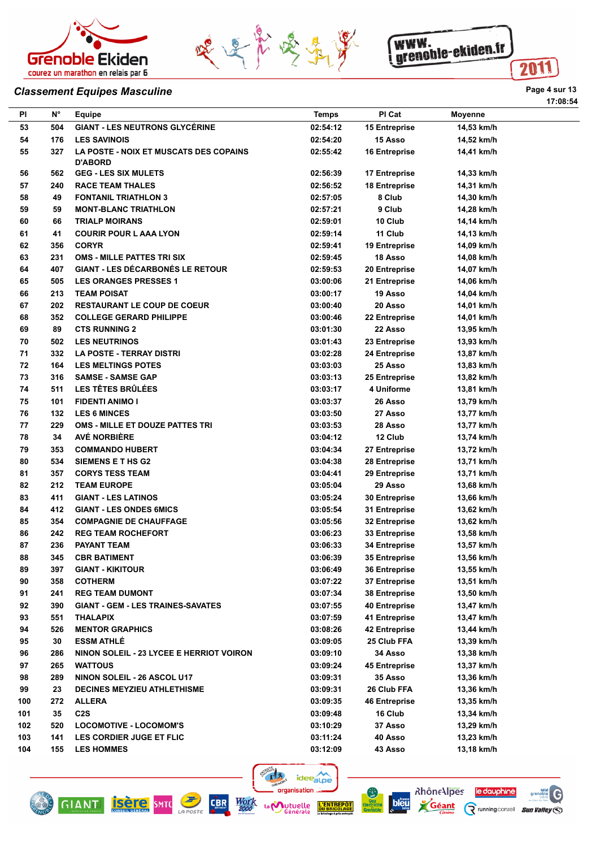





## **Classement Equipes Masculine Page 4 sur 13**

|          |             |                                                                 |              |                             |                | 17:08:54 |
|----------|-------------|-----------------------------------------------------------------|--------------|-----------------------------|----------------|----------|
| ΡI       | $N^{\circ}$ | Equipe                                                          | <b>Temps</b> | PI Cat                      | <b>Moyenne</b> |          |
| 53       | 504         | <b>GIANT - LES NEUTRONS GLYCERINE</b>                           | 02:54:12     | <b>15 Entreprise</b>        | 14,53 km/h     |          |
| 54       | 176         | <b>LES SAVINOIS</b>                                             | 02:54:20     | 15 Asso                     | 14,52 km/h     |          |
| 55       | 327         | <b>LA POSTE - NOIX ET MUSCATS DES COPAINS</b><br><b>D'ABORD</b> | 02:55:42     | 16 Entreprise               | 14,41 km/h     |          |
| 56       | 562         | <b>GEG - LES SIX MULETS</b>                                     | 02:56:39     | 17 Entreprise               | 14,33 km/h     |          |
| 57       | 240         | <b>RACE TEAM THALES</b>                                         | 02:56:52     | <b>18 Entreprise</b>        | 14,31 km/h     |          |
| 58       | 49          | <b>FONTANIL TRIATHLON 3</b>                                     | 02:57:05     | 8 Club                      | 14,30 km/h     |          |
| 59       | 59          | <b>MONT-BLANC TRIATHLON</b>                                     | 02:57:21     | 9 Club                      | 14,28 km/h     |          |
| 60       | 66          | <b>TRIALP MOIRANS</b>                                           | 02:59:01     | 10 Club                     | 14,14 km/h     |          |
| 61       | 41          | <b>COURIR POUR L AAA LYON</b>                                   | 02:59:14     | 11 Club                     | 14,13 km/h     |          |
| 62       | 356         | <b>CORYR</b>                                                    | 02:59:41     | 19 Entreprise               | 14,09 km/h     |          |
| 63       | 231         | <b>OMS - MILLE PATTES TRI SIX</b>                               | 02:59:45     | 18 Asso                     | 14,08 km/h     |          |
| 64       | 407         | <b>GIANT - LES DÉCARBONÉS LE RETOUR</b>                         | 02:59:53     | 20 Entreprise               | 14,07 km/h     |          |
| 65       | 505         | <b>LES ORANGES PRESSES 1</b>                                    | 03:00:06     | 21 Entreprise               | 14,06 km/h     |          |
| 66       | 213         | <b>TEAM POISAT</b>                                              | 03:00:17     | 19 Asso                     | 14,04 km/h     |          |
| 67       | 202         | <b>RESTAURANT LE COUP DE COEUR</b>                              | 03:00:40     | 20 Asso                     | 14,01 km/h     |          |
| 68       | 352         | <b>COLLEGE GERARD PHILIPPE</b>                                  | 03:00:46     | 22 Entreprise               | 14,01 km/h     |          |
| 69       | 89          | <b>CTS RUNNING 2</b>                                            | 03:01:30     | 22 Asso                     | 13,95 km/h     |          |
| 70       | 502         | <b>LES NEUTRINOS</b>                                            | 03:01:43     | 23 Entreprise               | 13.93 km/h     |          |
| 71       | 332         | <b>LA POSTE - TERRAY DISTRI</b>                                 | 03:02:28     |                             | 13,87 km/h     |          |
| 72       | 164         | <b>LES MELTINGS POTES</b>                                       | 03:03:03     | 24 Entreprise<br>25 Asso    |                |          |
| 73       | 316         | <b>SAMSE - SAMSE GAP</b>                                        | 03:03:13     |                             | 13,83 km/h     |          |
|          | 511         | <b>LES TÊTES BRÛLÉES</b>                                        |              | 25 Entreprise<br>4 Uniforme | 13,82 km/h     |          |
| 74<br>75 | 101         | <b>FIDENTI ANIMO I</b>                                          | 03:03:17     | 26 Asso                     | 13,81 km/h     |          |
| 76       | 132         | <b>LES 6 MINCES</b>                                             | 03:03:37     | 27 Asso                     | 13,79 km/h     |          |
| 77       | 229         | OMS - MILLE ET DOUZE PATTES TRI                                 | 03:03:50     | 28 Asso                     | 13,77 km/h     |          |
|          |             | AVÉ NORBIÈRE                                                    | 03:03:53     |                             | 13,77 km/h     |          |
| 78<br>79 | 34<br>353   | <b>COMMANDO HUBERT</b>                                          | 03:04:12     | 12 Club                     | 13,74 km/h     |          |
|          | 534         |                                                                 | 03:04:34     | 27 Entreprise               | 13,72 km/h     |          |
| 80       |             | SIEMENS E T HS G2                                               | 03:04:38     | 28 Entreprise               | 13,71 km/h     |          |
| 81       | 357         | <b>CORYS TESS TEAM</b>                                          | 03:04:41     | 29 Entreprise               | 13,71 km/h     |          |
| 82       | 212         | <b>TEAM EUROPE</b>                                              | 03:05:04     | 29 Asso                     | 13,68 km/h     |          |
| 83       | 411         | <b>GIANT - LES LATINOS</b>                                      | 03:05:24     | 30 Entreprise               | 13,66 km/h     |          |
| 84       | 412         | <b>GIANT - LES ONDES 6MICS</b>                                  | 03:05:54     | 31 Entreprise               | 13,62 km/h     |          |
| 85       | 354         | <b>COMPAGNIE DE CHAUFFAGE</b>                                   | 03:05:56     | 32 Entreprise               | 13.62 km/h     |          |
| 86       | 242         | <b>REG TEAM ROCHEFORT</b>                                       | 03:06:23     | <b>33 Entreprise</b>        | 13,58 km/h     |          |
| 87       | 236         | PAYANT TEAM                                                     | 03:06:33     | 34 Entreprise               | 13,57 km/h     |          |
| 88       | 345         | <b>CBR BATIMENT</b>                                             | 03:06:39     | 35 Entreprise               | 13,56 km/h     |          |
| 89       | 397         | <b>GIANT - KIKITOUR</b>                                         | 03:06:49     | <b>36 Entreprise</b>        | 13,55 km/h     |          |
| 90       | 358         | <b>COTHERM</b>                                                  | 03:07:22     | 37 Entreprise               | 13.51 km/h     |          |
| 91       | 241         | <b>REG TEAM DUMONT</b>                                          | 03:07:34     | 38 Entreprise               | 13,50 km/h     |          |
| 92       | 390         | <b>GIANT - GEM - LES TRAINES-SAVATES</b>                        | 03:07:55     | 40 Entreprise               | 13,47 km/h     |          |
| 93       | 551         | <b>THALAPIX</b>                                                 | 03:07:59     | 41 Entreprise               | 13,47 km/h     |          |
| 94       | 526         | <b>MENTOR GRAPHICS</b>                                          | 03:08:26     | 42 Entreprise               | 13,44 km/h     |          |
| 95       | 30          | <b>ESSM ATHLÉ</b>                                               | 03:09:05     | 25 Club FFA                 | 13,39 km/h     |          |
| 96       | 286         | NINON SOLEIL - 23 LYCEE E HERRIOT VOIRON                        | 03:09:10     | 34 Asso                     | 13,38 km/h     |          |
| 97       | 265         | <b>WATTOUS</b>                                                  | 03:09:24     | 45 Entreprise               | 13,37 km/h     |          |
| 98       | 289         | NINON SOLEIL - 26 ASCOL U17                                     | 03:09:31     | 35 Asso                     | 13,36 km/h     |          |
| 99       | 23          | <b>DECINES MEYZIEU ATHLETHISME</b>                              | 03:09:31     | 26 Club FFA                 | 13,36 km/h     |          |
| 100      | 272         | <b>ALLERA</b>                                                   | 03:09:35     | 46 Entreprise               | 13,35 km/h     |          |
| 101      | 35          | C <sub>2</sub> S                                                | 03:09:48     | 16 Club                     | 13,34 km/h     |          |
| 102      | 520         | <b>LOCOMOTIVE - LOCOMOM'S</b>                                   | 03:10:29     | 37 Asso                     | 13,29 km/h     |          |
| 103      | 141         | LES CORDIER JUGE ET FLIC                                        | 03:11:24     | 40 Asso                     | 13,23 km/h     |          |
| 104      | 155         | <b>LES HOMMES</b>                                               | 03:12:09     | 43 Asso                     | 13,18 km/h     |          |





**bleu** 



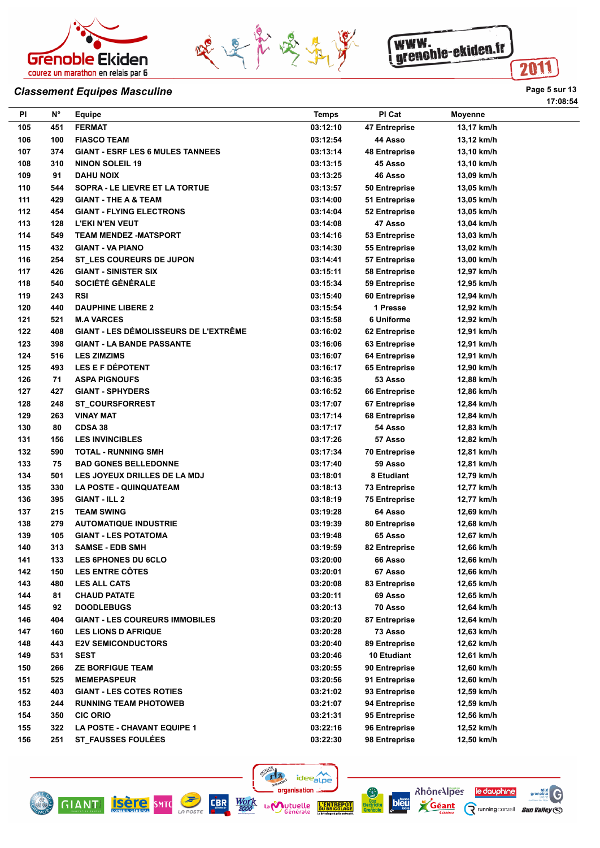



**Pl N° Equipe Temps Pl Cat Moyenne 105 451 FERMAT 03:12:10 47 Entreprise 13,17 km/h**



#### **Classement Equipes Masculine Page 1 Structure 13**

| 106 | 100 | <b>FIASCO TEAM</b>                           | 03:12:54 | 44 Asso              | 13,12 km/h |
|-----|-----|----------------------------------------------|----------|----------------------|------------|
| 107 | 374 | <b>GIANT - ESRF LES 6 MULES TANNEES</b>      | 03:13:14 | <b>48 Entreprise</b> | 13,10 km/h |
| 108 | 310 | <b>NINON SOLEIL 19</b>                       | 03:13:15 | 45 Asso              | 13,10 km/h |
| 109 | 91  | <b>DAHU NOIX</b>                             | 03:13:25 | 46 Asso              | 13,09 km/h |
| 110 | 544 | SOPRA - LE LIEVRE ET LA TORTUE               | 03:13:57 | 50 Entreprise        | 13,05 km/h |
| 111 | 429 | <b>GIANT - THE A &amp; TEAM</b>              | 03:14:00 | 51 Entreprise        | 13,05 km/h |
| 112 | 454 | <b>GIANT - FLYING ELECTRONS</b>              | 03:14:04 | 52 Entreprise        | 13,05 km/h |
| 113 | 128 | <b>L'EKI N'EN VEUT</b>                       | 03:14:08 | 47 Asso              | 13,04 km/h |
| 114 | 549 | <b>TEAM MENDEZ -MATSPORT</b>                 | 03:14:16 | 53 Entreprise        | 13,03 km/h |
| 115 | 432 | <b>GIANT - VA PIANO</b>                      | 03:14:30 | 55 Entreprise        | 13,02 km/h |
| 116 | 254 | ST LES COUREURS DE JUPON                     | 03:14:41 | 57 Entreprise        | 13,00 km/h |
| 117 | 426 | <b>GIANT - SINISTER SIX</b>                  | 03:15:11 | 58 Entreprise        | 12,97 km/h |
| 118 | 540 | SOCIÉTÉ GÉNÉRALE                             | 03:15:34 | 59 Entreprise        | 12,95 km/h |
| 119 | 243 | <b>RSI</b>                                   | 03:15:40 | 60 Entreprise        | 12,94 km/h |
| 120 | 440 | <b>DAUPHINE LIBERE 2</b>                     | 03:15:54 | 1 Presse             | 12,92 km/h |
| 121 | 521 | <b>M.A VARCES</b>                            | 03:15:58 | 6 Uniforme           | 12,92 km/h |
| 122 | 408 | <b>GIANT - LES DÉMOLISSEURS DE L'EXTRÊME</b> | 03:16:02 | 62 Entreprise        | 12,91 km/h |
| 123 | 398 | <b>GIANT - LA BANDE PASSANTE</b>             | 03:16:06 | 63 Entreprise        | 12,91 km/h |
| 124 | 516 | <b>LES ZIMZIMS</b>                           | 03:16:07 | 64 Entreprise        | 12,91 km/h |
| 125 | 493 | <b>LES E F DÉPOTENT</b>                      | 03:16:17 | 65 Entreprise        | 12,90 km/h |
| 126 | 71  | <b>ASPA PIGNOUFS</b>                         | 03:16:35 | 53 Asso              | 12,88 km/h |
| 127 | 427 | <b>GIANT - SPHYDERS</b>                      | 03:16:52 | 66 Entreprise        | 12,86 km/h |
| 128 | 248 | <b>ST_COURSFORREST</b>                       | 03:17:07 | 67 Entreprise        | 12,84 km/h |
| 129 | 263 | <b>VINAY MAT</b>                             | 03:17:14 | 68 Entreprise        | 12,84 km/h |
| 130 | 80  | CDSA 38                                      | 03:17:17 | 54 Asso              | 12,83 km/h |
| 131 | 156 | <b>LES INVINCIBLES</b>                       | 03:17:26 | 57 Asso              | 12,82 km/h |
| 132 | 590 | <b>TOTAL - RUNNING SMH</b>                   | 03:17:34 | <b>70 Entreprise</b> | 12,81 km/h |
| 133 | 75  | <b>BAD GONES BELLEDONNE</b>                  | 03:17:40 | 59 Asso              | 12,81 km/h |
| 134 | 501 | <b>LES JOYEUX DRILLES DE LA MDJ</b>          | 03:18:01 | 8 Etudiant           | 12,79 km/h |
| 135 | 330 | <b>LA POSTE - QUINQUATEAM</b>                | 03:18:13 | <b>73 Entreprise</b> | 12,77 km/h |
| 136 | 395 | <b>GIANT - ILL 2</b>                         | 03:18:19 | <b>75 Entreprise</b> | 12,77 km/h |
| 137 | 215 | <b>TEAM SWING</b>                            | 03:19:28 | 64 Asso              | 12,69 km/h |
| 138 | 279 | <b>AUTOMATIQUE INDUSTRIE</b>                 | 03:19:39 | 80 Entreprise        | 12,68 km/h |
| 139 | 105 | <b>GIANT - LES POTATOMA</b>                  | 03:19:48 | 65 Asso              | 12,67 km/h |
| 140 | 313 | <b>SAMSE - EDB SMH</b>                       | 03:19:59 | 82 Entreprise        | 12,66 km/h |
| 141 | 133 | <b>LES 6PHONES DU 6CLO</b>                   | 03:20:00 | 66 Asso              | 12,66 km/h |
| 142 | 150 | <b>LES ENTRE CÔTES</b>                       | 03:20:01 | 67 Asso              | 12,66 km/h |
| 143 | 480 | <b>LES ALL CATS</b>                          | 03:20:08 | 83 Entreprise        | 12,65 km/h |
| 144 | 81  | <b>CHAUD PATATE</b>                          | 03:20:11 | 69 Asso              | 12,65 km/h |
| 145 | 92  | <b>DOODLEBUGS</b>                            | 03:20:13 | 70 Asso              | 12,64 km/h |
| 146 | 404 | <b>GIANT - LES COUREURS IMMOBILES</b>        | 03:20:20 | 87 Entreprise        | 12,64 km/h |
| 147 | 160 | <b>LES LIONS D AFRIQUE</b>                   | 03:20:28 | 73 Asso              | 12,63 km/h |
| 148 | 443 | <b>E2V SEMICONDUCTORS</b>                    | 03:20:40 | 89 Entreprise        | 12,62 km/h |
| 149 | 531 | <b>SEST</b>                                  | 03:20:46 | 10 Etudiant          | 12,61 km/h |
| 150 | 266 | <b>ZE BORFIGUE TEAM</b>                      | 03:20:55 | 90 Entreprise        | 12,60 km/h |
| 151 | 525 | <b>MEMEPASPEUR</b>                           | 03:20:56 | 91 Entreprise        | 12,60 km/h |
| 152 | 403 | <b>GIANT - LES COTES ROTIES</b>              | 03:21:02 | 93 Entreprise        | 12,59 km/h |
| 153 | 244 | <b>RUNNING TEAM PHOTOWEB</b>                 | 03:21:07 | 94 Entreprise        | 12,59 km/h |
| 154 | 350 | <b>CIC ORIO</b>                              | 03:21:31 | 95 Entreprise        | 12,56 km/h |
| 155 | 322 | LA POSTE - CHAVANT EQUIPE 1                  | 03:22:16 | 96 Entreprise        | 12,52 km/h |
| 156 | 251 | <b>ST_FAUSSES FOULÉES</b>                    | 03:22:30 | 98 Entreprise        | 12,50 km/h |
|     |     |                                              |          |                      |            |





**GIANT ISETE** SMTC





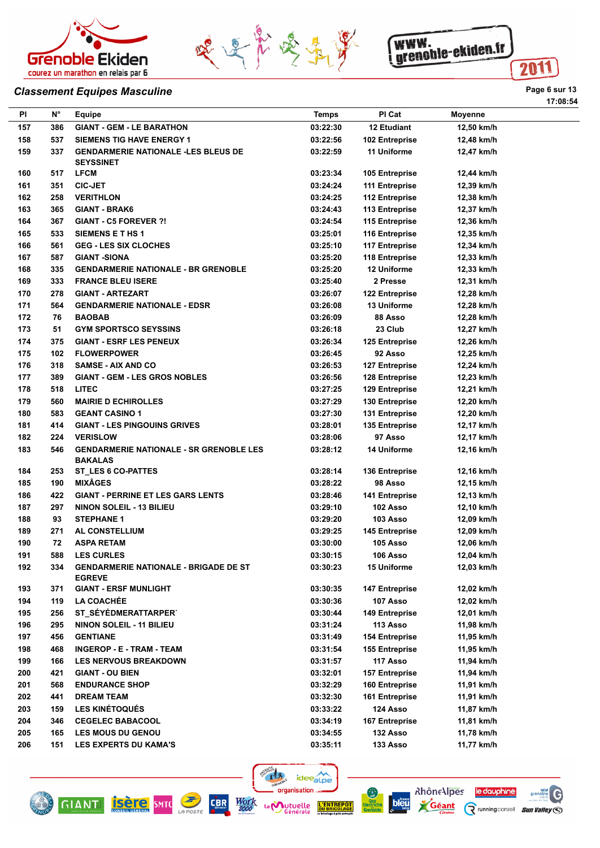





## **Classement Equipes Masculine Page 6 sur 13**

| ΡI         | $N^{\circ}$ | <b>Equipe</b>                                                        | <b>Temps</b> | PI Cat                | <b>Moyenne</b>           |
|------------|-------------|----------------------------------------------------------------------|--------------|-----------------------|--------------------------|
|            | 386         |                                                                      | 03:22:30     | 12 Etudiant           |                          |
| 157        | 537         | <b>GIANT - GEM - LE BARATHON</b><br><b>SIEMENS TIG HAVE ENERGY 1</b> | 03:22:56     | 102 Entreprise        | 12,50 km/h<br>12,48 km/h |
| 158<br>159 | 337         | <b>GENDARMERIE NATIONALE -LES BLEUS DE</b>                           | 03:22:59     | 11 Uniforme           | 12,47 km/h               |
|            |             | <b>SEYSSINET</b>                                                     |              |                       |                          |
| 160        | 517         | <b>LFCM</b>                                                          | 03:23:34     | 105 Entreprise        | 12,44 km/h               |
| 161        | 351         | <b>CIC-JET</b>                                                       | 03:24:24     | 111 Entreprise        | 12,39 km/h               |
| 162        | 258         | <b>VERITHLON</b>                                                     | 03:24:25     | 112 Entreprise        | 12,38 km/h               |
| 163        | 365         | <b>GIANT - BRAK6</b>                                                 | 03:24:43     | 113 Entreprise        | 12,37 km/h               |
| 164        | 367         | <b>GIANT - C5 FOREVER ?!</b>                                         | 03:24:54     | 115 Entreprise        | 12,36 km/h               |
| 165        | 533         | <b>SIEMENS E T HS 1</b>                                              | 03:25:01     | 116 Entreprise        | 12,35 km/h               |
| 166        | 561         | <b>GEG - LES SIX CLOCHES</b>                                         | 03:25:10     | 117 Entreprise        | 12,34 km/h               |
| 167        | 587         | <b>GIANT -SIONA</b>                                                  | 03:25:20     | 118 Entreprise        | 12,33 km/h               |
| 168        | 335         | <b>GENDARMERIE NATIONALE - BR GRENOBLE</b>                           | 03:25:20     | 12 Uniforme           | 12,33 km/h               |
| 169        | 333         | <b>FRANCE BLEU ISERE</b>                                             | 03:25:40     | 2 Presse              | 12,31 km/h               |
| 170        | 278         | <b>GIANT - ARTEZART</b>                                              | 03:26:07     | 122 Entreprise        | 12,28 km/h               |
| 171        | 564         | <b>GENDARMERIE NATIONALE - EDSR</b>                                  | 03:26:08     | 13 Uniforme           | 12,28 km/h               |
| 172        | 76          | <b>BAOBAB</b>                                                        | 03:26:09     | 88 Asso               | 12,28 km/h               |
| 173        | 51          | <b>GYM SPORTSCO SEYSSINS</b>                                         | 03:26:18     | 23 Club               | 12,27 km/h               |
| 174        | 375         | <b>GIANT - ESRF LES PENEUX</b>                                       | 03:26:34     | 125 Entreprise        | 12,26 km/h               |
| 175        | 102         | <b>FLOWERPOWER</b>                                                   | 03:26:45     | 92 Asso               | 12,25 km/h               |
| 176        | 318         | <b>SAMSE - AIX AND CO</b>                                            | 03:26:53     | 127 Entreprise        | 12,24 km/h               |
| 177        | 389         | <b>GIANT - GEM - LES GROS NOBLES</b>                                 | 03:26:56     | 128 Entreprise        | 12,23 km/h               |
| 178        | 518         | <b>LITEC</b>                                                         | 03:27:25     | 129 Entreprise        | 12,21 km/h               |
| 179        | 560         | <b>MAIRIE D ECHIROLLES</b>                                           | 03:27:29     | 130 Entreprise        | 12,20 km/h               |
| 180        | 583         | <b>GEANT CASINO 1</b>                                                | 03:27:30     | 131 Entreprise        | 12,20 km/h               |
|            | 414         | <b>GIANT - LES PINGOUINS GRIVES</b>                                  | 03:28:01     |                       |                          |
| 181        | 224         |                                                                      |              | 135 Entreprise        | 12,17 km/h               |
| 182        |             | <b>VERISLOW</b>                                                      | 03:28:06     | 97 Asso               | 12,17 km/h               |
| 183        | 546         | <b>GENDARMERIE NATIONALE - SR GRENOBLE LES</b><br><b>BAKALAS</b>     | 03:28:12     | <b>14 Uniforme</b>    | 12,16 km/h               |
| 184        | 253         | <b>ST_LES 6 CO-PATTES</b>                                            | 03:28:14     | 136 Entreprise        | 12,16 km/h               |
| 185        | 190         | <b>MIXÂGES</b>                                                       | 03:28:22     | 98 Asso               | 12,15 km/h               |
| 186        | 422         | <b>GIANT - PERRINE ET LES GARS LENTS</b>                             | 03:28:46     | 141 Entreprise        | 12,13 km/h               |
| 187        | 297         | <b>NINON SOLEIL - 13 BILIEU</b>                                      | 03:29:10     | 102 Asso              | 12,10 km/h               |
| 188        | 93          | <b>STEPHANE 1</b>                                                    | 03:29:20     | 103 Asso              | 12,09 km/h               |
| 189        | 271         | AL CONSTELLIUM                                                       | 03:29:25     | <b>145 Entreprise</b> | 12,09 km/h               |
| 190        | 72          | <b>ASPA RETAM</b>                                                    | 03:30:00     | 105 Asso              | 12,06 km/h               |
| 191        | 588         | <b>LES CURLES</b>                                                    | 03:30:15     | 106 Asso              | 12,04 km/h               |
| 192        | 334         | <b>GENDARMERIE NATIONALE - BRIGADE DE ST</b><br><b>EGREVE</b>        | 03:30:23     | 15 Uniforme           | 12,03 km/h               |
| 193        | 371         | <b>GIANT - ERSF MUNLIGHT</b>                                         | 03:30:35     | <b>147 Entreprise</b> | 12,02 km/h               |
| 194        | 119         | <b>LA COACHÉE</b>                                                    | 03:30:36     | 107 Asso              | 12,02 km/h               |
| 195        | 256         | ST_SÉYÉDMERATTARPER`                                                 | 03:30:44     | 149 Entreprise        | 12,01 km/h               |
| 196        | 295         | NINON SOLEIL - 11 BILIEU                                             | 03:31:24     | 113 Asso              | 11,98 km/h               |
| 197        | 456         | <b>GENTIANE</b>                                                      | 03:31:49     | <b>154 Entreprise</b> | 11,95 km/h               |
| 198        | 468         | INGEROP - E - TRAM - TEAM                                            | 03:31:54     | <b>155 Entreprise</b> | 11,95 km/h               |
| 199        | 166         | <b>LES NERVOUS BREAKDOWN</b>                                         | 03:31:57     | 117 Asso              | 11,94 km/h               |
| 200        | 421         | <b>GIANT - OU BIEN</b>                                               | 03:32:01     | <b>157 Entreprise</b> | 11,94 km/h               |
| 201        | 568         | <b>ENDURANCE SHOP</b>                                                | 03:32:29     | 160 Entreprise        | 11,91 km/h               |
| 202        | 441         | <b>DREAM TEAM</b>                                                    | 03:32:30     | 161 Entreprise        | 11,91 km/h               |
| 203        | 159         | <b>LES KINÉTOQUÉS</b>                                                | 03:33:22     | 124 Asso              | 11,87 km/h               |
| 204        | 346         | <b>CEGELEC BABACOOL</b>                                              | 03:34:19     | 167 Entreprise        | 11,81 km/h               |
| 205        | 165         | <b>LES MOUS DU GENOU</b>                                             | 03:34:55     | 132 Asso              | 11,78 km/h               |
| 206        | 151         | <b>LES EXPERTS DU KAMA'S</b>                                         | 03:35:11     | 133 Asso              | 11,77 km/h               |
|            |             |                                                                      |              |                       |                          |

 $r|z$ 

La **Mutuelle** 

ideealpe organisation ...

**L'ENTF**<br>DU BRIC







le dauphine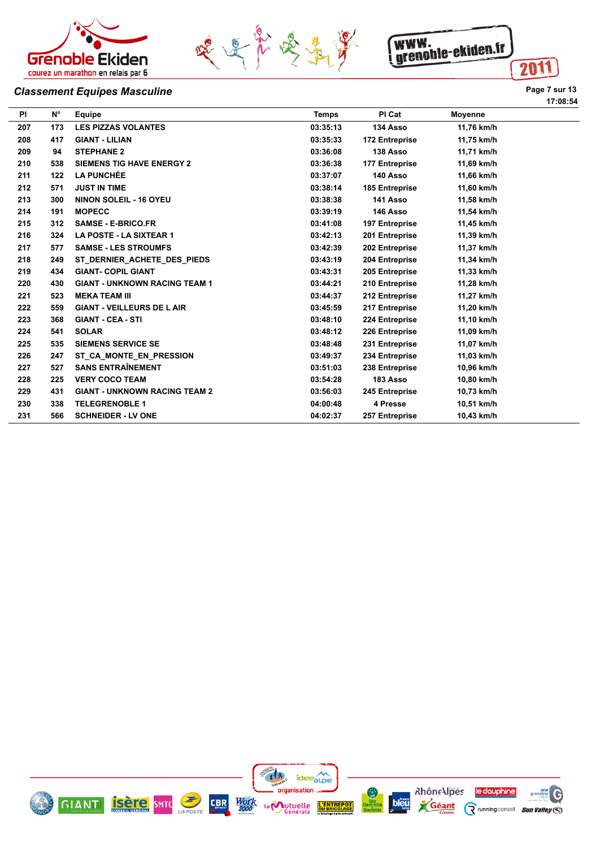





# **Classement Equipes Masculine Page 7 sur 13**

| nЯ<br>c<br>۰,<br>٧<br>۰, |  |
|--------------------------|--|
|--------------------------|--|

| <b>PI</b> | $N^{\circ}$ | Equipe                               | <b>Temps</b> | PI Cat         | <b>Movenne</b> |
|-----------|-------------|--------------------------------------|--------------|----------------|----------------|
| 207       | 173         | <b>LES PIZZAS VOLANTES</b>           | 03:35:13     | 134 Asso       | 11,76 km/h     |
| 208       | 417         | <b>GIANT - LILIAN</b>                | 03:35:33     | 172 Entreprise | 11,75 km/h     |
| 209       | 94          | <b>STEPHANE 2</b>                    | 03:36:08     | 138 Asso       | 11,71 km/h     |
| 210       | 538         | <b>SIEMENS TIG HAVE ENERGY 2</b>     | 03:36:38     | 177 Entreprise | 11,69 km/h     |
| 211       | 122         | <b>LA PUNCHÉE</b>                    | 03:37:07     | 140 Asso       | 11,66 km/h     |
| 212       | 571         | <b>JUST IN TIME</b>                  | 03:38:14     | 185 Entreprise | 11,60 km/h     |
| 213       | 300         | <b>NINON SOLEIL - 16 OYEU</b>        | 03:38:38     | 141 Asso       | 11,58 km/h     |
| 214       | 191         | <b>MOPECC</b>                        | 03:39:19     | 146 Asso       | 11,54 km/h     |
| 215       | 312         | <b>SAMSE - E-BRICO.FR</b>            | 03:41:08     | 197 Entreprise | 11,45 km/h     |
| 216       | 324         | LA POSTE - LA SIXTEAR 1              | 03:42:13     | 201 Entreprise | 11,39 km/h     |
| 217       | 577         | <b>SAMSE - LES STROUMFS</b>          | 03:42:39     | 202 Entreprise | 11,37 km/h     |
| 218       | 249         | ST DERNIER ACHETE DES PIEDS          | 03:43:19     | 204 Entreprise | 11,34 km/h     |
| 219       | 434         | <b>GIANT- COPIL GIANT</b>            | 03:43:31     | 205 Entreprise | 11,33 km/h     |
| 220       | 430         | <b>GIANT - UNKNOWN RACING TEAM 1</b> | 03:44:21     | 210 Entreprise | 11,28 km/h     |
| 221       | 523         | <b>MEKA TEAM III</b>                 | 03:44:37     | 212 Entreprise | 11,27 km/h     |
| 222       | 559         | <b>GIANT - VEILLEURS DE L AIR</b>    | 03:45:59     | 217 Entreprise | 11,20 km/h     |
| 223       | 368         | <b>GIANT - CEA - STI</b>             | 03:48:10     | 224 Entreprise | 11,10 km/h     |
| 224       | 541         | <b>SOLAR</b>                         | 03:48:12     | 226 Entreprise | 11,09 km/h     |
| 225       | 535         | <b>SIEMENS SERVICE SE</b>            | 03:48:48     | 231 Entreprise | 11,07 km/h     |
| 226       | 247         | ST CA MONTE EN PRESSION              | 03:49:37     | 234 Entreprise | 11,03 km/h     |
| 227       | 527         | <b>SANS ENTRAÎNEMENT</b>             | 03:51:03     | 238 Entreprise | 10.96 km/h     |
| 228       | 225         | <b>VERY COCO TEAM</b>                | 03:54:28     | 183 Asso       | 10,80 km/h     |
| 229       | 431         | <b>GIANT - UNKNOWN RACING TEAM 2</b> | 03:56:03     | 245 Entreprise | 10.73 km/h     |
| 230       | 338         | <b>TELEGRENOBLE 1</b>                | 04:00:48     | 4 Presse       | 10.51 km/h     |
| 231       | 566         | <b>SCHNEIDER - LV ONE</b>            | 04:02:37     | 257 Entreprise | 10.43 km/h     |

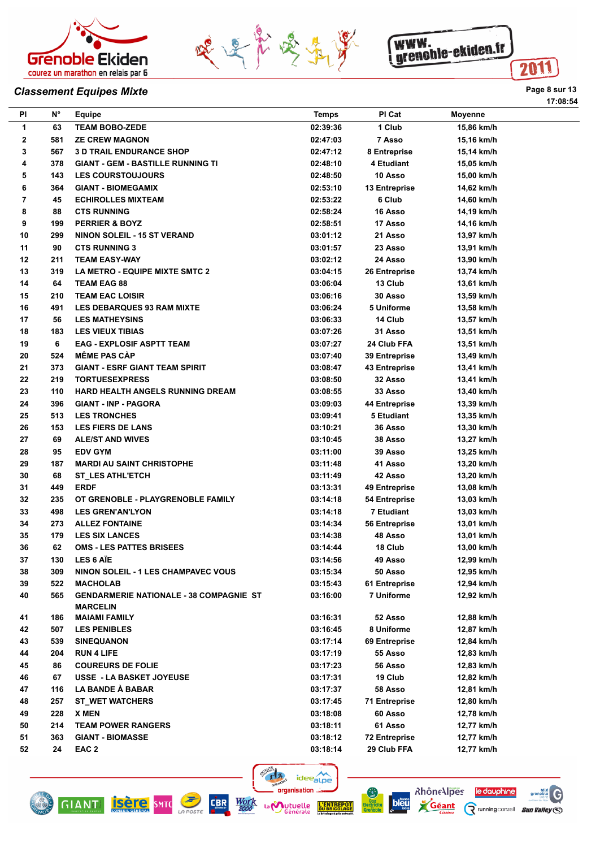





## **Classement Equipes Mixte Page 8 sur 13**

| ΡI          | N°  | Equipe                                                            | <b>Temps</b> | PI Cat               | <b>Moyenne</b> |  |
|-------------|-----|-------------------------------------------------------------------|--------------|----------------------|----------------|--|
| 1           | 63  | <b>TEAM BOBO-ZEDE</b>                                             | 02:39:36     | 1 Club               | 15,86 km/h     |  |
| $\mathbf 2$ | 581 | <b>ZE CREW MAGNON</b>                                             | 02:47:03     | 7 Asso               | 15,16 km/h     |  |
| 3           | 567 | <b>3 D TRAIL ENDURANCE SHOP</b>                                   | 02:47:12     | 8 Entreprise         | 15,14 km/h     |  |
| 4           | 378 | <b>GIANT - GEM - BASTILLE RUNNING TI</b>                          | 02:48:10     | 4 Etudiant           | 15,05 km/h     |  |
| 5           | 143 | <b>LES COURSTOUJOURS</b>                                          | 02:48:50     | 10 Asso              | 15,00 km/h     |  |
| 6           | 364 | <b>GIANT - BIOMEGAMIX</b>                                         | 02:53:10     | <b>13 Entreprise</b> | 14,62 km/h     |  |
| 7           | 45  | <b>ECHIROLLES MIXTEAM</b>                                         | 02:53:22     | 6 Club               | 14,60 km/h     |  |
| 8           | 88  | <b>CTS RUNNING</b>                                                | 02:58:24     | 16 Asso              | 14,19 km/h     |  |
| 9           | 199 | <b>PERRIER &amp; BOYZ</b>                                         | 02:58:51     | 17 Asso              | 14,16 km/h     |  |
| 10          | 299 | NINON SOLEIL - 15 ST VERAND                                       | 03:01:12     | 21 Asso              | 13,97 km/h     |  |
| 11          | 90  | <b>CTS RUNNING 3</b>                                              | 03:01:57     | 23 Asso              | 13,91 km/h     |  |
| 12          | 211 | <b>TEAM EASY-WAY</b>                                              | 03:02:12     | 24 Asso              | 13,90 km/h     |  |
| 13          | 319 | LA METRO - EQUIPE MIXTE SMTC 2                                    | 03:04:15     | 26 Entreprise        | 13,74 km/h     |  |
| 14          | 64  | <b>TEAM EAG 88</b>                                                | 03:06:04     | 13 Club              | 13,61 km/h     |  |
| 15          | 210 | <b>TEAM EAC LOISIR</b>                                            | 03:06:16     | 30 Asso              | 13,59 km/h     |  |
| 16          | 491 | <b>LES DEBARQUES 93 RAM MIXTE</b>                                 | 03:06:24     | 5 Uniforme           | 13,58 km/h     |  |
| 17          | 56  | <b>LES MATHEYSINS</b>                                             | 03:06:33     | 14 Club              | 13,57 km/h     |  |
| 18          | 183 | <b>LES VIEUX TIBIAS</b>                                           | 03:07:26     | 31 Asso              | 13,51 km/h     |  |
| 19          | 6   | <b>EAG - EXPLOSIF ASPTT TEAM</b>                                  | 03:07:27     | 24 Club FFA          | 13,51 km/h     |  |
| 20          | 524 | <b>MÊME PAS CAP</b>                                               | 03:07:40     | 39 Entreprise        | 13,49 km/h     |  |
| 21          | 373 | <b>GIANT - ESRF GIANT TEAM SPIRIT</b>                             | 03:08:47     | 43 Entreprise        | 13,41 km/h     |  |
| 22          | 219 |                                                                   |              | 32 Asso              |                |  |
|             |     | <b>TORTUESEXPRESS</b><br><b>HARD HEALTH ANGELS RUNNING DREAM</b>  | 03:08:50     |                      | 13,41 km/h     |  |
| 23          | 110 |                                                                   | 03:08:55     | 33 Asso              | 13,40 km/h     |  |
| 24          | 396 | <b>GIANT - INP - PAGORA</b>                                       | 03:09:03     | 44 Entreprise        | 13,39 km/h     |  |
| 25          | 513 | <b>LES TRONCHES</b>                                               | 03:09:41     | 5 Etudiant           | 13,35 km/h     |  |
| 26          | 153 | <b>LES FIERS DE LANS</b>                                          | 03:10:21     | 36 Asso              | 13,30 km/h     |  |
| 27          | 69  | <b>ALE/ST AND WIVES</b>                                           | 03:10:45     | 38 Asso              | 13,27 km/h     |  |
| 28          | 95  | <b>EDV GYM</b>                                                    | 03:11:00     | 39 Asso              | 13,25 km/h     |  |
| 29          | 187 | <b>MARDI AU SAINT CHRISTOPHE</b>                                  | 03:11:48     | 41 Asso              | 13,20 km/h     |  |
| 30          | 68  | <b>ST LES ATHL'ETCH</b>                                           | 03:11:49     | 42 Asso              | 13,20 km/h     |  |
| 31          | 449 | <b>ERDF</b>                                                       | 03:13:31     | 49 Entreprise        | 13,08 km/h     |  |
| 32          | 235 | OT GRENOBLE - PLAYGRENOBLE FAMILY                                 | 03:14:18     | 54 Entreprise        | 13,03 km/h     |  |
| 33          | 498 | <b>LES GREN'AN'LYON</b>                                           | 03:14:18     | 7 Etudiant           | 13,03 km/h     |  |
| 34          | 273 | <b>ALLEZ FONTAINE</b>                                             | 03:14:34     | <b>56 Entreprise</b> | 13,01 km/h     |  |
| 35          | 179 | <b>LES SIX LANCES</b>                                             | 03:14:38     | 48 Asso              | 13,01 km/h     |  |
| 36          | 62  | <b>OMS - LES PATTES BRISEES</b>                                   | 03:14:44     | 18 Club              | 13.00 km/h     |  |
| 37          | 130 | <b>LES 6 AIE</b>                                                  | 03:14:56     | 49 Asso              | 12,99 km/h     |  |
| 38          | 309 | NINON SOLEIL - 1 LES CHAMPAVEC VOUS                               | 03:15:34     | 50 Asso              | 12,95 km/h     |  |
| 39          | 522 | <b>MACHOLAB</b>                                                   | 03:15:43     | 61 Entreprise        | 12,94 km/h     |  |
| 40          | 565 | <b>GENDARMERIE NATIONALE - 38 COMPAGNIE ST</b><br><b>MARCELIN</b> | 03:16:00     | 7 Uniforme           | 12,92 km/h     |  |
| 41          | 186 | <b>MAIAMI FAMILY</b>                                              | 03:16:31     | 52 Asso              | 12,88 km/h     |  |
| 42          | 507 | <b>LES PENIBLES</b>                                               | 03:16:45     | 8 Uniforme           | 12,87 km/h     |  |
| 43          | 539 | <b>SINEQUANON</b>                                                 | 03:17:14     | 69 Entreprise        | 12,84 km/h     |  |
| 44          | 204 | <b>RUN 4 LIFE</b>                                                 | 03:17:19     | 55 Asso              | 12,83 km/h     |  |
| 45          | 86  | <b>COUREURS DE FOLIE</b>                                          | 03:17:23     | 56 Asso              | 12,83 km/h     |  |
| 46          | 67  | USSE - LA BASKET JOYEUSE                                          | 03:17:31     | 19 Club              | 12,82 km/h     |  |
| 47          | 116 | LA BANDE À BABAR                                                  | 03:17:37     | 58 Asso              | 12,81 km/h     |  |
| 48          | 257 | <b>ST_WET WATCHERS</b>                                            | 03:17:45     | <b>71 Entreprise</b> | 12,80 km/h     |  |
| 49          | 228 | <b>X MEN</b>                                                      | 03:18:08     | 60 Asso              | 12,78 km/h     |  |
| 50          | 214 | <b>TEAM POWER RANGERS</b>                                         | 03:18:11     | 61 Asso              | 12,77 km/h     |  |
| 51          | 363 | <b>GIANT - BIOMASSE</b>                                           | 03:18:12     | <b>72 Entreprise</b> | 12,77 km/h     |  |
|             |     |                                                                   |              | 29 Club FFA          |                |  |
| 52          | 24  | EAC 2                                                             | 03:18:14     |                      | 12,77 km/h     |  |







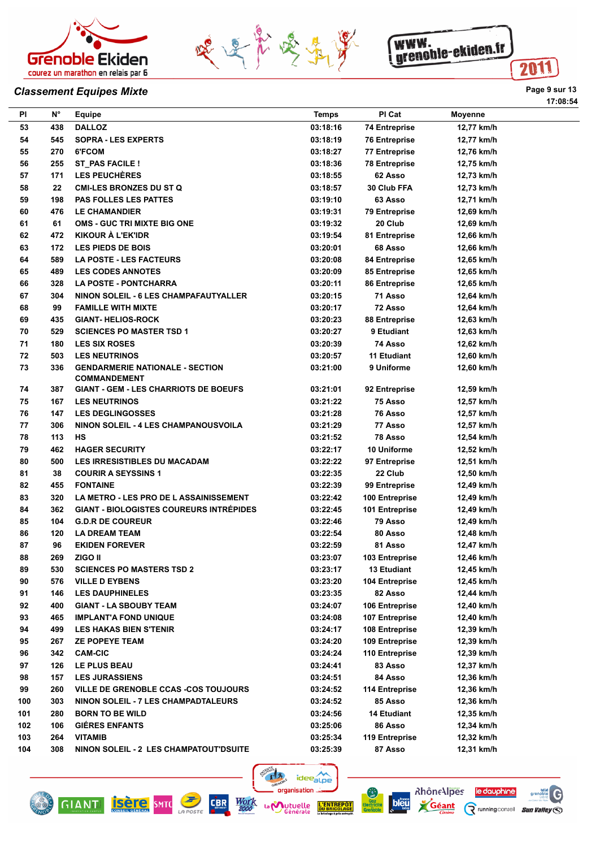





## **Classement Equipes Mixte Page 9 sur 13**

|     |             |                                                |              |                      |            | 17:08:54 |
|-----|-------------|------------------------------------------------|--------------|----------------------|------------|----------|
| PI  | $N^{\circ}$ | Equipe                                         | <b>Temps</b> | PI Cat               | Moyenne    |          |
| 53  | 438         | <b>DALLOZ</b>                                  | 03:18:16     | <b>74 Entreprise</b> | 12,77 km/h |          |
| 54  | 545         | <b>SOPRA - LES EXPERTS</b>                     | 03:18:19     | <b>76 Entreprise</b> | 12,77 km/h |          |
| 55  | 270         | 6'FCOM                                         | 03:18:27     | 77 Entreprise        | 12,76 km/h |          |
| 56  | 255         | ST PAS FACILE !                                | 03:18:36     | <b>78 Entreprise</b> | 12,75 km/h |          |
| 57  | 171         | <b>LES PEUCHÈRES</b>                           | 03:18:55     | 62 Asso              | 12,73 km/h |          |
| 58  | 22          | <b>CMI-LES BRONZES DU ST Q</b>                 | 03:18:57     | 30 Club FFA          | 12,73 km/h |          |
| 59  | 198         | <b>PAS FOLLES LES PATTES</b>                   | 03:19:10     | 63 Asso              | 12,71 km/h |          |
| 60  | 476         | <b>LE CHAMANDIER</b>                           | 03:19:31     | 79 Entreprise        | 12,69 km/h |          |
| 61  | 61          | <b>OMS - GUC TRI MIXTE BIG ONE</b>             | 03:19:32     | 20 Club              | 12,69 km/h |          |
| 62  | 472         | <b>KIKOUR A L'EK'IDR</b>                       | 03:19:54     | 81 Entreprise        | 12,66 km/h |          |
| 63  | 172         | <b>LES PIEDS DE BOIS</b>                       | 03:20:01     | 68 Asso              | 12,66 km/h |          |
| 64  | 589         | <b>LA POSTE - LES FACTEURS</b>                 | 03:20:08     | 84 Entreprise        | 12,65 km/h |          |
| 65  | 489         | <b>LES CODES ANNOTES</b>                       | 03:20:09     | 85 Entreprise        | 12,65 km/h |          |
| 66  | 328         | <b>LA POSTE - PONTCHARRA</b>                   | 03:20:11     | 86 Entreprise        | 12,65 km/h |          |
| 67  | 304         | NINON SOLEIL - 6 LES CHAMPAFAUTYALLER          | 03:20:15     | 71 Asso              | 12,64 km/h |          |
| 68  | 99          | <b>FAMILLE WITH MIXTE</b>                      | 03:20:17     | 72 Asso              | 12,64 km/h |          |
| 69  | 435         | <b>GIANT-HELIOS-ROCK</b>                       | 03:20:23     | 88 Entreprise        | 12,63 km/h |          |
| 70  | 529         | <b>SCIENCES PO MASTER TSD 1</b>                | 03:20:27     | 9 Etudiant           | 12,63 km/h |          |
| 71  | 180         | <b>LES SIX ROSES</b>                           | 03:20:39     | 74 Asso              | 12,62 km/h |          |
| 72  | 503         | <b>LES NEUTRINOS</b>                           | 03:20:57     | <b>11 Etudiant</b>   | 12,60 km/h |          |
| 73  | 336         | <b>GENDARMERIE NATIONALE - SECTION</b>         | 03:21:00     | 9 Uniforme           | 12,60 km/h |          |
|     |             | <b>COMMANDEMENT</b>                            |              |                      |            |          |
| 74  | 387         | <b>GIANT - GEM - LES CHARRIOTS DE BOEUFS</b>   | 03:21:01     | 92 Entreprise        | 12,59 km/h |          |
| 75  | 167         | <b>LES NEUTRINOS</b>                           | 03:21:22     | 75 Asso              | 12,57 km/h |          |
| 76  | 147         | <b>LES DEGLINGOSSES</b>                        | 03:21:28     | 76 Asso              | 12,57 km/h |          |
| 77  | 306         | NINON SOLEIL - 4 LES CHAMPANOUSVOILA           | 03:21:29     | 77 Asso              | 12,57 km/h |          |
| 78  | 113         | НS                                             | 03:21:52     | 78 Asso              | 12,54 km/h |          |
| 79  | 462         | <b>HAGER SECURITY</b>                          | 03:22:17     | 10 Uniforme          | 12,52 km/h |          |
| 80  | 500         | <b>LES IRRESISTIBLES DU MACADAM</b>            | 03:22:22     | 97 Entreprise        | 12,51 km/h |          |
| 81  | 38          | <b>COURIR A SEYSSINS 1</b>                     | 03:22:35     | 22 Club              | 12,50 km/h |          |
| 82  | 455         | <b>FONTAINE</b>                                | 03:22:39     | 99 Entreprise        | 12,49 km/h |          |
| 83  | 320         | <b>LA METRO - LES PRO DE L ASSAINISSEMENT</b>  | 03:22:42     | 100 Entreprise       | 12,49 km/h |          |
| 84  | 362         | <b>GIANT - BIOLOGISTES COUREURS INTRÉPIDES</b> | 03:22:45     | 101 Entreprise       | 12,49 km/h |          |
| 85  | 104         | <b>G.D.R DE COUREUR</b>                        | 03:22:46     | 79 Asso              | 12,49 km/h |          |
| 86  | 120         | <b>LA DREAM TEAM</b>                           | 03:22:54     | 80 Asso              | 12,48 km/h |          |
| 87  | 96          | <b>EKIDEN FOREVER</b>                          | 03:22:59     | 81 Asso              | 12,47 km/h |          |
| 88  | 269         | ZIGO II                                        | 03:23:07     | 103 Entreprise       | 12,46 km/h |          |
| 89  | 530         | <b>SCIENCES PO MASTERS TSD 2</b>               | 03:23:17     | 13 Etudiant          | 12,45 km/h |          |
| 90  | 576         | <b>VILLE D EYBENS</b>                          | 03:23:20     | 104 Entreprise       | 12,45 km/h |          |
| 91  | 146         | <b>LES DAUPHINELES</b>                         | 03:23:35     | 82 Asso              | 12,44 km/h |          |
| 92  | 400         | <b>GIANT - LA SBOUBY TEAM</b>                  | 03:24:07     | 106 Entreprise       | 12,40 km/h |          |
| 93  | 465         | <b>IMPLANT'A FOND UNIQUE</b>                   | 03:24:08     | 107 Entreprise       | 12,40 km/h |          |
| 94  | 499         | <b>LES HAKAS BIEN S'TENIR</b>                  | 03:24:17     | 108 Entreprise       | 12,39 km/h |          |
| 95  | 267         | <b>ZE POPEYE TEAM</b>                          | 03:24:20     | 109 Entreprise       | 12,39 km/h |          |
| 96  | 342         | <b>CAM-CIC</b>                                 | 03:24:24     | 110 Entreprise       | 12,39 km/h |          |
| 97  | 126         | LE PLUS BEAU                                   | 03:24:41     | 83 Asso              | 12,37 km/h |          |
| 98  | 157         | <b>LES JURASSIENS</b>                          | 03:24:51     | 84 Asso              | 12,36 km/h |          |
| 99  | 260         | VILLE DE GRENOBLE CCAS -COS TOUJOURS           | 03:24:52     | 114 Entreprise       | 12,36 km/h |          |
| 100 | 303         | <b>NINON SOLEIL - 7 LES CHAMPADTALEURS</b>     | 03:24:52     | 85 Asso              | 12,36 km/h |          |
| 101 | 280         | <b>BORN TO BE WILD</b>                         | 03:24:56     | 14 Etudiant          | 12,35 km/h |          |
| 102 | 106         | <b>GIÉRES ENFANTS</b>                          | 03:25:06     | 86 Asso              | 12,34 km/h |          |
| 103 | 264         | <b>VITAMIB</b>                                 | 03:25:34     | 119 Entreprise       | 12,32 km/h |          |
| 104 | 308         | NINON SOLEIL - 2 LES CHAMPATOUT'DSUITE         | 03:25:39     | 87 Asso              | 12,31 km/h |          |



**L'ENTF**<br>DU BRIC





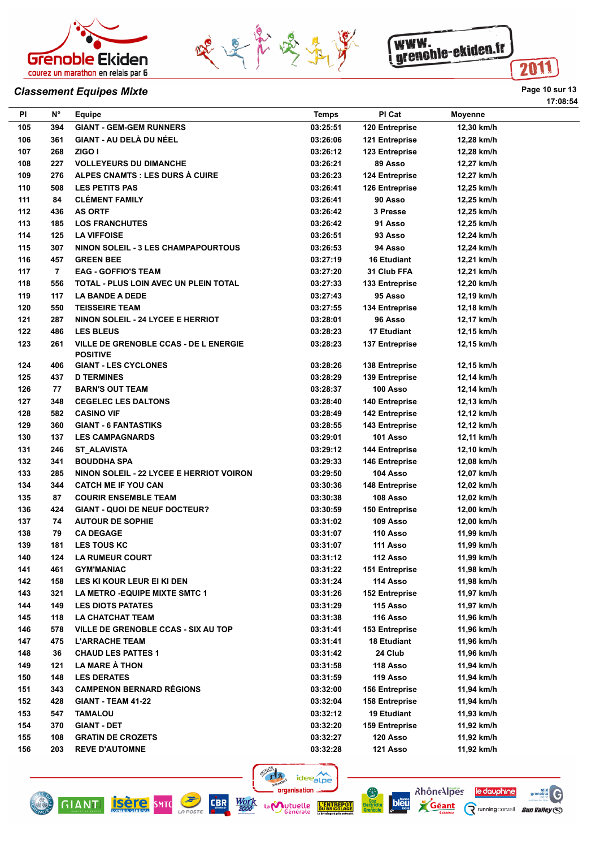





#### **Classement Equipes Mixte Page 10 sur 13**

| PI         | <b>N°</b> | Equipe                                       | <b>Temps</b>         | PI Cat                | <b>Moyenne</b> |
|------------|-----------|----------------------------------------------|----------------------|-----------------------|----------------|
| 105        | 394       | <b>GIANT - GEM-GEM RUNNERS</b>               | 03:25:51             | 120 Entreprise        | 12,30 km/h     |
| 106        | 361       | <b>GIANT - AU DELÀ DU NÉEL</b>               | 03:26:06             | 121 Entreprise        | 12,28 km/h     |
| 107        | 268       | ZIGO I                                       | 03:26:12             | 123 Entreprise        | 12,28 km/h     |
| 108        | 227       | <b>VOLLEYEURS DU DIMANCHE</b>                | 03:26:21             | 89 Asso               | 12,27 km/h     |
| 109        | 276       | ALPES CNAMTS : LES DURS À CUIRE              | 03:26:23             | 124 Entreprise        | 12,27 km/h     |
| 110        | 508       | <b>LES PETITS PAS</b>                        | 03:26:41             | 126 Entreprise        | 12,25 km/h     |
| 111        | 84        | <b>CLÉMENT FAMILY</b>                        | 03:26:41             | 90 Asso               | 12,25 km/h     |
| 112        | 436       | <b>AS ORTF</b>                               | 03:26:42             | 3 Presse              | 12,25 km/h     |
| 113        | 185       | <b>LOS FRANCHUTES</b>                        | 03:26:42             | 91 Asso               | 12,25 km/h     |
| 114        | 125       | <b>LA VIFFOISE</b>                           | 03:26:51             | 93 Asso               | 12,24 km/h     |
| 115        | 307       | <b>NINON SOLEIL - 3 LES CHAMPAPOURTOUS</b>   | 03:26:53             | 94 Asso               | 12,24 km/h     |
| 116        | 457       | <b>GREEN BEE</b>                             | 03:27:19             | <b>16 Etudiant</b>    | 12,21 km/h     |
| 117        | 7         | <b>EAG - GOFFIO'S TEAM</b>                   | 03:27:20             | 31 Club FFA           | 12,21 km/h     |
| 118        | 556       | TOTAL - PLUS LOIN AVEC UN PLEIN TOTAL        | 03:27:33             | 133 Entreprise        | 12,20 km/h     |
| 119        | 117       | <b>LA BANDE A DEDE</b>                       | 03:27:43             | 95 Asso               | 12,19 km/h     |
| 120        | 550       | <b>TEISSEIRE TEAM</b>                        | 03:27:55             | 134 Entreprise        | 12,18 km/h     |
| 121        | 287       | NINON SOLEIL - 24 LYCEE E HERRIOT            | 03:28:01             | 96 Asso               | 12,17 km/h     |
| 122        | 486       | <b>LES BLEUS</b>                             | 03:28:23             | <b>17 Etudiant</b>    | 12,15 km/h     |
| 123        | 261       | <b>VILLE DE GRENOBLE CCAS - DE L ENERGIE</b> | 03:28:23             | 137 Entreprise        | 12,15 km/h     |
|            |           | <b>POSITIVE</b>                              |                      |                       |                |
| 124        | 406       | <b>GIANT - LES CYCLONES</b>                  | 03:28:26             | <b>138 Entreprise</b> | 12,15 km/h     |
| 125        | 437       | <b>D TERMINES</b>                            | 03:28:29             | 139 Entreprise        | 12,14 km/h     |
| 126        | 77        | <b>BARN'S OUT TEAM</b>                       | 03:28:37             | 100 Asso              | 12,14 km/h     |
| 127        | 348       | <b>CEGELEC LES DALTONS</b>                   | 03:28:40             | 140 Entreprise        | 12,13 km/h     |
| 128        | 582       | <b>CASINO VIF</b>                            | 03:28:49             | <b>142 Entreprise</b> | 12,12 km/h     |
| 129        | 360       | <b>GIANT - 6 FANTASTIKS</b>                  | 03:28:55             | 143 Entreprise        | 12,12 km/h     |
| 130        | 137       | <b>LES CAMPAGNARDS</b>                       | 03:29:01             | 101 Asso              | 12,11 km/h     |
| 131        | 246       | <b>ST_ALAVISTA</b>                           | 03:29:12             | <b>144 Entreprise</b> | 12,10 km/h     |
| 132        | 341       | <b>BOUDDHA SPA</b>                           | 03:29:33             | 146 Entreprise        | 12,08 km/h     |
| 133        | 285       | NINON SOLEIL - 22 LYCEE E HERRIOT VOIRON     | 03:29:50             | 104 Asso              | 12,07 km/h     |
| 134        | 344       | <b>CATCH ME IF YOU CAN</b>                   | 03:30:36             | 148 Entreprise        | 12,02 km/h     |
| 135        | 87        | <b>COURIR ENSEMBLE TEAM</b>                  | 03:30:38             | 108 Asso              | 12,02 km/h     |
| 136        | 424       | <b>GIANT - QUOI DE NEUF DOCTEUR?</b>         | 03:30:59             | 150 Entreprise        | 12,00 km/h     |
| 137        | 74        | <b>AUTOUR DE SOPHIE</b>                      | 03:31:02             | 109 Asso              | 12,00 km/h     |
| 138        | 79        | <b>CA DEGAGE</b>                             | 03:31:07             | 110 Asso              | 11,99 km/h     |
| 139        | 181       | <b>LES TOUS KC</b>                           | 03:31:07             | 111 Asso              | 11,99 km/h     |
| 140        | 124       | <b>LA RUMEUR COURT</b>                       | 03:31:12             | 112 Asso              | 11,99 km/h     |
| 141        | 461       | <b>GYM'MANIAC</b>                            | 03:31:22             | <b>151 Entreprise</b> | 11,98 km/h     |
| 142        | 158       | LES KI KOUR LEUR EI KI DEN                   | 03:31:24             | 114 Asso              | 11,98 km/h     |
| 143        | 321       | <b>LA METRO -EQUIPE MIXTE SMTC 1</b>         | 03:31:26             | <b>152 Entreprise</b> | 11,97 km/h     |
| 144        | 149       | <b>LES DIOTS PATATES</b>                     | 03:31:29             | 115 Asso              | 11,97 km/h     |
| 145        | 118       | <b>LA CHATCHAT TEAM</b>                      | 03:31:38             | 116 Asso              | 11,96 km/h     |
| 146        | 578       | VILLE DE GRENOBLE CCAS - SIX AU TOP          | 03:31:41             | 153 Entreprise        | 11,96 km/h     |
| 147        | 475       | <b>L'ARRACHE TEAM</b>                        | 03:31:41             | 18 Etudiant           | 11,96 km/h     |
| 148        | 36        | <b>CHAUD LES PATTES 1</b>                    | 03:31:42             | 24 Club               | 11,96 km/h     |
|            | 121       | LA MARE À THON                               |                      | 118 Asso              | 11,94 km/h     |
| 149<br>150 | 148       | <b>LES DERATES</b>                           | 03:31:58<br>03:31:59 | 119 Asso              | 11,94 km/h     |
| 151        | 343       | <b>CAMPENON BERNARD RÉGIONS</b>              | 03:32:00             | <b>156 Entreprise</b> | 11,94 km/h     |
|            | 428       |                                              |                      |                       |                |
| 152        |           | <b>GIANT - TEAM 41-22</b>                    | 03:32:04             | 158 Entreprise        | 11,94 km/h     |
| 153        | 547       | <b>TAMALOU</b>                               | 03:32:12             | 19 Etudiant           | 11,93 km/h     |
| 154        | 370       | <b>GIANT - DET</b>                           | 03:32:20             | 159 Entreprise        | 11,92 km/h     |
| 155        | 108       | <b>GRATIN DE CROZETS</b>                     | 03:32:27             | 120 Asso              | 11,92 km/h     |
| 156        | 203       | <b>REVE D'AUTOMNE</b>                        | 03:32:28             | 121 Asso              | 11,92 km/h     |













**17:08:54**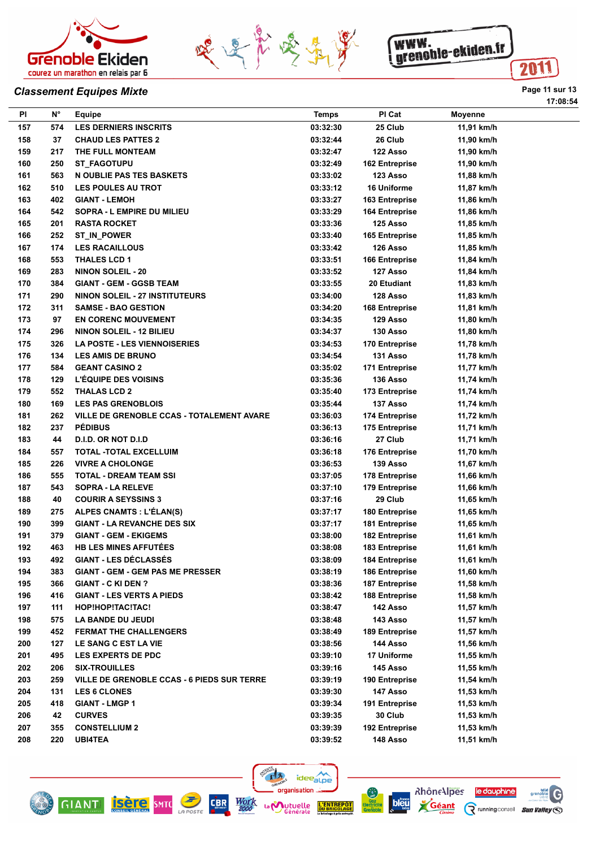





## **Classement Equipes Mixte Page 11 sur 13**

| PI         | $N^{\circ}$ | Equipe                                            | <b>Temps</b>         | PI Cat                                  | <b>Moyenne</b>           |
|------------|-------------|---------------------------------------------------|----------------------|-----------------------------------------|--------------------------|
| 157        | 574         | <b>LES DERNIERS INSCRITS</b>                      | 03:32:30             | 25 Club                                 | 11,91 km/h               |
| 158        | 37          | <b>CHAUD LES PATTES 2</b>                         | 03:32:44             | 26 Club                                 | 11,90 km/h               |
| 159        | 217         | THE FULL MONTEAM                                  | 03:32:47             | 122 Asso                                | 11,90 km/h               |
| 160        | 250         | <b>ST FAGOTUPU</b>                                | 03:32:49             | 162 Entreprise                          | 11,90 km/h               |
| 161        | 563         | N OUBLIE PAS TES BASKETS                          | 03:33:02             | 123 Asso                                | 11,88 km/h               |
| 162        | 510         | <b>LES POULES AU TROT</b>                         | 03:33:12             | 16 Uniforme                             | 11,87 km/h               |
| 163        | 402         | <b>GIANT - LEMOH</b>                              | 03:33:27             | 163 Entreprise                          | 11,86 km/h               |
| 164        | 542         | SOPRA - L EMPIRE DU MILIEU                        | 03:33:29             | 164 Entreprise                          | 11,86 km/h               |
| 165        | 201         | <b>RASTA ROCKET</b>                               | 03:33:36             | 125 Asso                                | 11,85 km/h               |
| 166        | 252         | ST_IN_POWER                                       | 03:33:40             | 165 Entreprise                          | 11,85 km/h               |
| 167        | 174         | <b>LES RACAILLOUS</b>                             | 03:33:42             | 126 Asso                                | 11,85 km/h               |
| 168        | 553         | <b>THALES LCD 1</b>                               | 03:33:51             | 166 Entreprise                          | 11,84 km/h               |
| 169        | 283         | <b>NINON SOLEIL - 20</b>                          | 03:33:52             | 127 Asso                                | 11,84 km/h               |
| 170        | 384         | <b>GIANT - GEM - GGSB TEAM</b>                    | 03:33:55             | 20 Etudiant                             | 11,83 km/h               |
| 171        | 290         | <b>NINON SOLEIL - 27 INSTITUTEURS</b>             | 03:34:00             | 128 Asso                                | 11,83 km/h               |
| 172        | 311         | <b>SAMSE - BAO GESTION</b>                        | 03:34:20             | <b>168 Entreprise</b>                   | 11,81 km/h               |
| 173        | 97          | <b>EN CORENC MOUVEMENT</b>                        | 03:34:35             | 129 Asso                                | 11,80 km/h               |
| 174        | 296         | <b>NINON SOLEIL - 12 BILIEU</b>                   | 03:34:37             | 130 Asso                                | 11,80 km/h               |
| 175        | 326         | <b>LA POSTE - LES VIENNOISERIES</b>               | 03:34:53             | 170 Entreprise                          | 11,78 km/h               |
| 176        | 134         | <b>LES AMIS DE BRUNO</b>                          | 03:34:54             | 131 Asso                                | 11,78 km/h               |
| 177        | 584         | <b>GEANT CASINO 2</b>                             | 03:35:02             | 171 Entreprise                          | 11,77 km/h               |
| 178        | 129         | <b>L'ÉQUIPE DES VOISINS</b>                       | 03:35:36             | 136 Asso                                | 11,74 km/h               |
| 179        | 552         | <b>THALAS LCD 2</b>                               | 03:35:40             | 173 Entreprise                          | 11,74 km/h               |
| 180        | 169         | <b>LES PAS GRENOBLOIS</b>                         | 03:35:44             | 137 Asso                                | 11,74 km/h               |
| 181        | 262         | <b>VILLE DE GRENOBLE CCAS - TOTALEMENT AVARE</b>  | 03:36:03             | 174 Entreprise                          | 11,72 km/h               |
| 182        | 237         | <b>PÉDIBUS</b>                                    | 03:36:13             | 175 Entreprise                          | 11,71 km/h               |
| 183        | 44          | D.I.D. OR NOT D.I.D                               | 03:36:16             | 27 Club                                 | 11,71 km/h               |
| 184        | 557         | <b>TOTAL -TOTAL EXCELLUIM</b>                     | 03:36:18             | 176 Entreprise                          | 11,70 km/h               |
| 185        | 226         | <b>VIVRE A CHOLONGE</b>                           | 03:36:53             | 139 Asso                                | 11,67 km/h               |
| 186        | 555         | <b>TOTAL - DREAM TEAM SSI</b>                     | 03:37:05             | 178 Entreprise                          | 11,66 km/h               |
| 187        | 543         | <b>SOPRA - LA RELEVE</b>                          | 03:37:10             | 179 Entreprise                          | 11,66 km/h               |
| 188        | 40          | <b>COURIR A SEYSSINS 3</b>                        | 03:37:16             | 29 Club                                 | 11,65 km/h               |
| 189        | 275         | <b>ALPES CNAMTS : L'ÉLAN(S)</b>                   | 03:37:17             | 180 Entreprise                          | 11,65 km/h               |
| 190        | 399         | <b>GIANT - LA REVANCHE DES SIX</b>                | 03:37:17             | 181 Entreprise                          | 11,65 km/h               |
| 191        | 379         | <b>GIANT - GEM - EKIGEMS</b>                      | 03:38:00             | 182 Entreprise                          | 11,61 km/h               |
| 192        | 463         | <b>HB LES MINES AFFUTÉES</b>                      | 03:38:08             | 183 Entreprise                          | 11,61 km/h               |
| 193        | 492         | <b>GIANT - LES DÉCLASSÉS</b>                      | 03:38:09             | 184 Entreprise                          | 11,61 km/h               |
|            | 383         | <b>GIANT - GEM - GEM PAS ME PRESSER</b>           |                      |                                         |                          |
| 194<br>195 | 366         | <b>GIANT - C KI DEN ?</b>                         | 03:38:19<br>03:38:36 | 186 Entreprise<br><b>187 Entreprise</b> | 11,60 km/h<br>11,58 km/h |
|            |             |                                                   |                      |                                         |                          |
| 196        | 416         | <b>GIANT - LES VERTS A PIEDS</b>                  | 03:38:42             | 188 Entreprise                          | 11,58 km/h               |
| 197        | 111         | HOP!HOP!TAC!TAC!                                  | 03:38:47             | 142 Asso                                | 11,57 km/h               |
| 198        | 575         | <b>LA BANDE DU JEUDI</b>                          | 03:38:48             | 143 Asso                                | 11,57 km/h               |
| 199        | 452         | FERMAT THE CHALLENGERS                            | 03:38:49             | 189 Entreprise                          | 11,57 km/h               |
| 200        | 127         | <b>LE SANG C EST LA VIE</b>                       | 03:38:56             | 144 Asso                                | 11,56 km/h               |
| 201        | 495         | <b>LES EXPERTS DE PDC</b>                         | 03:39:10             | 17 Uniforme                             | 11,55 km/h               |
| 202        | 206         | <b>SIX-TROUILLES</b>                              | 03:39:16             | 145 Asso                                | 11,55 km/h               |
| 203        | 259         | <b>VILLE DE GRENOBLE CCAS - 6 PIEDS SUR TERRE</b> | 03:39:19             | 190 Entreprise                          | 11,54 km/h               |
| 204        | 131         | <b>LES 6 CLONES</b>                               | 03:39:30             | 147 Asso                                | 11,53 km/h               |
| 205        | 418         | <b>GIANT - LMGP 1</b>                             | 03:39:34             | 191 Entreprise                          | 11,53 km/h               |
| 206        | 42          | <b>CURVES</b>                                     | 03:39:35             | 30 Club                                 | 11,53 km/h               |
| 207        | 355         | <b>CONSTELLIUM 2</b>                              | 03:39:39             | 192 Entreprise                          | 11,53 km/h               |
| 208        | 220         | <b>UBI4TEA</b>                                    | 03:39:52             | 148 Asso                                | 11,51 km/h               |

门方。

La **Mutuelle** 

ideealpe organisation ...





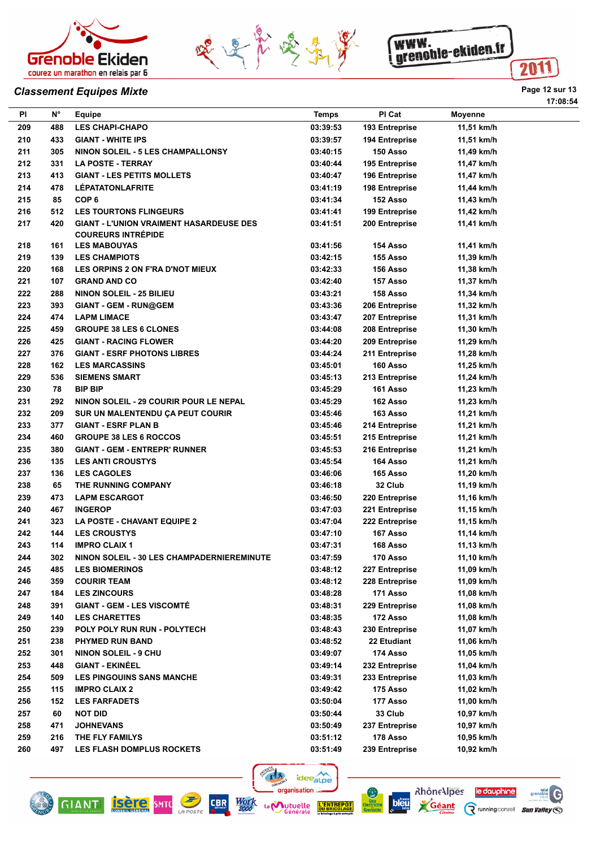





# **Classement Equipes Mixte Page 12 sur 13**

| ΡI  | <b>N°</b> | Equipe                                            | <b>Temps</b> | PI Cat         | <b>Moyenne</b> |
|-----|-----------|---------------------------------------------------|--------------|----------------|----------------|
| 209 | 488       | <b>LES CHAPI-CHAPO</b>                            | 03:39:53     | 193 Entreprise | 11,51 km/h     |
| 210 | 433       | <b>GIANT - WHITE IPS</b>                          | 03:39:57     | 194 Entreprise | 11,51 km/h     |
| 211 | 305       | NINON SOLEIL - 5 LES CHAMPALLONSY                 | 03:40:15     | 150 Asso       | 11,49 km/h     |
| 212 | 331       | <b>LA POSTE - TERRAY</b>                          | 03:40:44     | 195 Entreprise | 11,47 km/h     |
| 213 | 413       | <b>GIANT - LES PETITS MOLLETS</b>                 | 03:40:47     | 196 Entreprise | 11,47 km/h     |
| 214 | 478       | <b>LÉPATATONLAFRITE</b>                           | 03:41:19     | 198 Entreprise | 11,44 km/h     |
| 215 | 85        | COP <sub>6</sub>                                  | 03:41:34     | 152 Asso       | 11,43 km/h     |
| 216 | 512       | <b>LES TOURTONS FLINGEURS</b>                     | 03:41:41     | 199 Entreprise | 11,42 km/h     |
| 217 | 420       | <b>GIANT - L'UNION VRAIMENT HASARDEUSE DES</b>    | 03:41:51     | 200 Entreprise | 11,41 km/h     |
|     |           | <b>COUREURS INTRÉPIDE</b>                         |              |                |                |
| 218 | 161       | <b>LES MABOUYAS</b>                               | 03:41:56     | 154 Asso       | 11,41 km/h     |
| 219 | 139       | <b>LES CHAMPIOTS</b>                              | 03:42:15     | 155 Asso       | 11,39 km/h     |
| 220 | 168       | LES ORPINS 2 ON F'RA D'NOT MIEUX                  | 03:42:33     | 156 Asso       | 11,38 km/h     |
| 221 | 107       | <b>GRAND AND CO</b>                               | 03:42:40     | 157 Asso       | 11,37 km/h     |
| 222 | 288       | <b>NINON SOLEIL - 25 BILIEU</b>                   | 03:43:21     | 158 Asso       | 11,34 km/h     |
| 223 | 393       | <b>GIANT - GEM - RUN@GEM</b>                      | 03:43:36     | 206 Entreprise | 11,32 km/h     |
| 224 | 474       | <b>LAPM LIMACE</b>                                | 03:43:47     | 207 Entreprise | 11,31 km/h     |
| 225 | 459       | <b>GROUPE 38 LES 6 CLONES</b>                     | 03:44:08     | 208 Entreprise | 11,30 km/h     |
| 226 | 425       | <b>GIANT - RACING FLOWER</b>                      | 03:44:20     | 209 Entreprise | 11,29 km/h     |
| 227 | 376       | <b>GIANT - ESRF PHOTONS LIBRES</b>                | 03:44:24     | 211 Entreprise | 11,28 km/h     |
| 228 | 162       | <b>LES MARCASSINS</b>                             | 03:45:01     | 160 Asso       | 11,25 km/h     |
| 229 | 536       | <b>SIEMENS SMART</b>                              | 03:45:13     | 213 Entreprise | 11,24 km/h     |
| 230 | 78        | <b>BIP BIP</b>                                    | 03:45:29     | 161 Asso       | 11,23 km/h     |
| 231 | 292       | NINON SOLEIL - 29 COURIR POUR LE NEPAL            | 03:45:29     | 162 Asso       | 11,23 km/h     |
| 232 | 209       | SUR UN MALENTENDU ÇA PEUT COURIR                  | 03:45:46     | 163 Asso       | 11,21 km/h     |
| 233 | 377       | <b>GIANT - ESRF PLAN B</b>                        | 03:45:46     | 214 Entreprise | 11,21 km/h     |
| 234 | 460       | <b>GROUPE 38 LES 6 ROCCOS</b>                     | 03:45:51     | 215 Entreprise | 11,21 km/h     |
| 235 | 380       | <b>GIANT - GEM - ENTREPR' RUNNER</b>              | 03:45:53     | 216 Entreprise | 11,21 km/h     |
| 236 | 135       | <b>LES ANTI CROUSTYS</b>                          | 03:45:54     | 164 Asso       | 11,21 km/h     |
| 237 | 136       | <b>LES CAGOLES</b>                                | 03:46:06     | 165 Asso       | 11,20 km/h     |
| 238 | 65        | THE RUNNING COMPANY                               | 03:46:18     | 32 Club        | 11,19 km/h     |
| 239 | 473       | <b>LAPM ESCARGOT</b>                              | 03:46:50     | 220 Entreprise | 11,16 km/h     |
|     |           |                                                   |              |                |                |
| 240 | 467       | <b>INGEROP</b>                                    | 03:47:03     | 221 Entreprise | 11,15 km/h     |
| 241 | 323       | <b>LA POSTE - CHAVANT EQUIPE 2</b>                | 03:47:04     | 222 Entreprise | 11,15 km/h     |
| 242 | 144       | <b>LES CROUSTYS</b>                               | 03:47:10     | 167 Asso       | 11,14 km/h     |
| 243 | 114       | <b>IMPRO CLAIX 1</b>                              | 03:47:31     | 168 Asso       | 11,13 km/h     |
| 244 | 302       | <b>NINON SOLEIL - 30 LES CHAMPADERNIEREMINUTE</b> | 03:47:59     | 170 Asso       | 11,10 km/h     |
| 245 | 485       | <b>LES BIOMERINOS</b>                             | 03:48:12     | 227 Entreprise | 11,09 km/h     |
| 246 | 359       | <b>COURIR TEAM</b>                                | 03:48:12     | 228 Entreprise | 11,09 km/h     |
| 247 | 184       | <b>LES ZINCOURS</b>                               | 03:48:28     | 171 Asso       | 11,08 km/h     |
| 248 | 391       | <b>GIANT - GEM - LES VISCOMTÉ</b>                 | 03:48:31     | 229 Entreprise | 11,08 km/h     |
| 249 | 140       | <b>LES CHARETTES</b>                              | 03:48:35     | 172 Asso       | 11,08 km/h     |
| 250 | 239       | POLY POLY RUN RUN - POLYTECH                      | 03:48:43     | 230 Entreprise | 11,07 km/h     |
| 251 | 238       | <b>PHYMED RUN BAND</b>                            | 03:48:52     | 22 Etudiant    | 11,06 km/h     |
| 252 | 301       | <b>NINON SOLEIL - 9 CHU</b>                       | 03:49:07     | 174 Asso       | 11,05 km/h     |
| 253 | 448       | <b>GIANT - EKINÉEL</b>                            | 03:49:14     | 232 Entreprise | 11,04 km/h     |
| 254 | 509       | <b>LES PINGOUINS SANS MANCHE</b>                  | 03:49:31     | 233 Entreprise | 11,03 km/h     |
| 255 | 115       | <b>IMPRO CLAIX 2</b>                              | 03:49:42     | 175 Asso       | 11,02 km/h     |
| 256 | 152       | <b>LES FARFADETS</b>                              | 03:50:04     | 177 Asso       | 11,00 km/h     |
| 257 | 60        | NOT DID                                           | 03:50:44     | 33 Club        | 10,97 km/h     |
| 258 | 471       | <b>JOHNEVANS</b>                                  | 03:50:49     | 237 Entreprise | 10,97 km/h     |
| 259 | 216       | THE FLY FAMILYS                                   | 03:51:12     | 178 Asso       | 10,95 km/h     |
| 260 | 497       | <b>LES FLASH DOMPLUS ROCKETS</b>                  | 03:51:49     | 239 Entreprise | 10,92 km/h     |